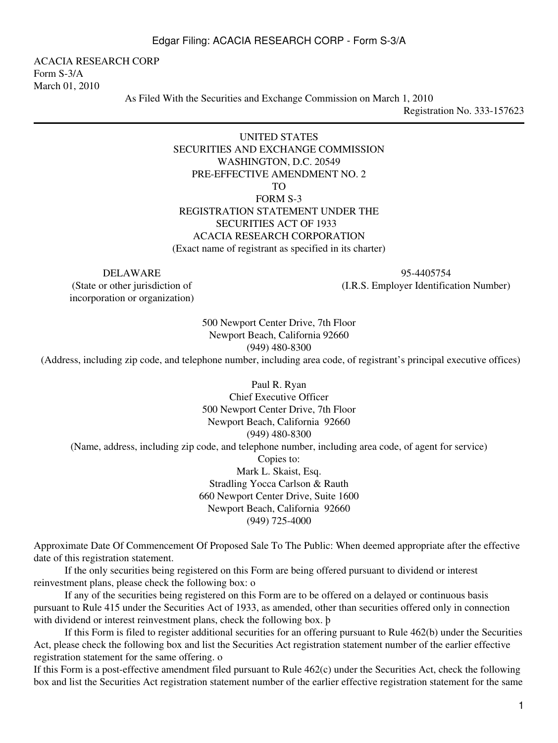ACACIA RESEARCH CORP Form S-3/A March 01, 2010

As Filed With the Securities and Exchange Commission on March 1, 2010

Registration No. 333-157623

#### UNITED STATES SECURITIES AND EXCHANGE COMMISSION WASHINGTON, D.C. 20549 PRE-EFFECTIVE AMENDMENT NO. 2 TO

FORM S-3

# REGISTRATION STATEMENT UNDER THE SECURITIES ACT OF 1933 ACACIA RESEARCH CORPORATION

(Exact name of registrant as specified in its charter)

(State or other jurisdiction of incorporation or organization)

DELAWARE 95-4405754 (I.R.S. Employer Identification Number)

> 500 Newport Center Drive, 7th Floor Newport Beach, California 92660 (949) 480-8300

(Address, including zip code, and telephone number, including area code, of registrant's principal executive offices)

Paul R. Ryan Chief Executive Officer 500 Newport Center Drive, 7th Floor Newport Beach, California 92660 (949) 480-8300 (Name, address, including zip code, and telephone number, including area code, of agent for service) Copies to: Mark L. Skaist, Esq. Stradling Yocca Carlson & Rauth

660 Newport Center Drive, Suite 1600 Newport Beach, California 92660 (949) 725-4000

Approximate Date Of Commencement Of Proposed Sale To The Public: When deemed appropriate after the effective date of this registration statement.

 If the only securities being registered on this Form are being offered pursuant to dividend or interest reinvestment plans, please check the following box: o

 If any of the securities being registered on this Form are to be offered on a delayed or continuous basis pursuant to Rule 415 under the Securities Act of 1933, as amended, other than securities offered only in connection with dividend or interest reinvestment plans, check the following box. þ

 If this Form is filed to register additional securities for an offering pursuant to Rule 462(b) under the Securities Act, please check the following box and list the Securities Act registration statement number of the earlier effective registration statement for the same offering. o

If this Form is a post-effective amendment filed pursuant to Rule 462(c) under the Securities Act, check the following box and list the Securities Act registration statement number of the earlier effective registration statement for the same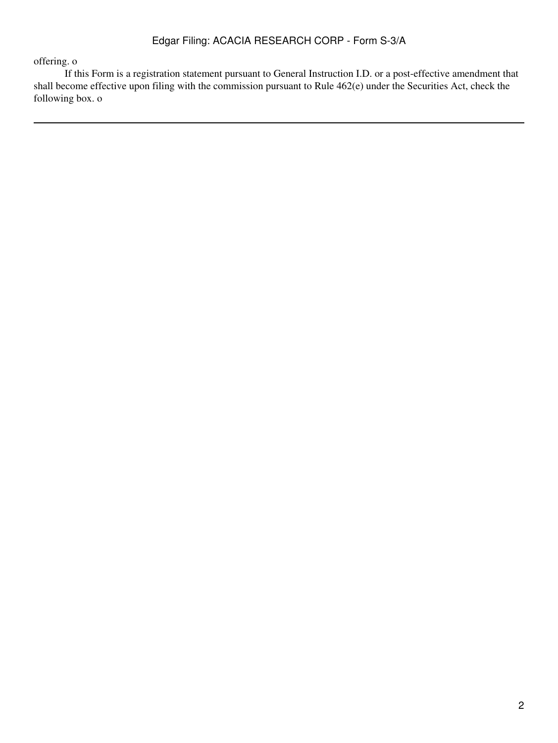# offering. o

 If this Form is a registration statement pursuant to General Instruction I.D. or a post-effective amendment that shall become effective upon filing with the commission pursuant to Rule 462(e) under the Securities Act, check the following box. o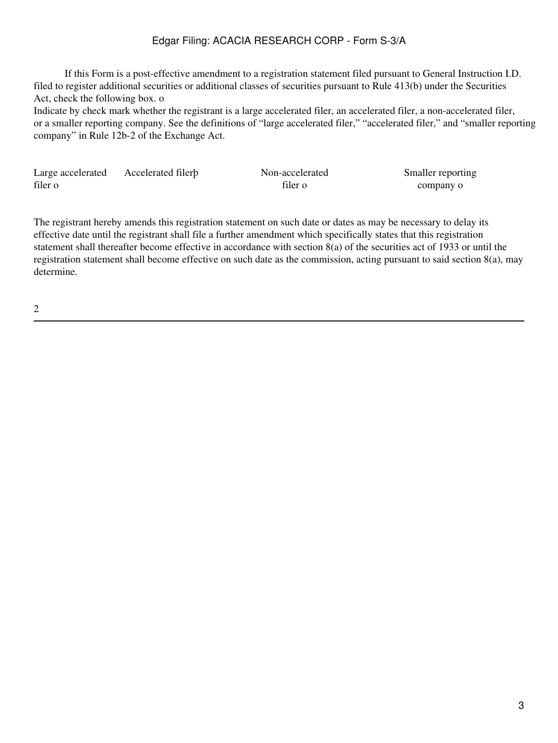If this Form is a post-effective amendment to a registration statement filed pursuant to General Instruction I.D. filed to register additional securities or additional classes of securities pursuant to Rule 413(b) under the Securities Act, check the following box. o

Indicate by check mark whether the registrant is a large accelerated filer, an accelerated filer, a non-accelerated filer, or a smaller reporting company. See the definitions of "large accelerated filer," "accelerated filer," and "smaller reporting company" in Rule 12b-2 of the Exchange Act.

| Large accelerated | Accelerated filerb | Non-accelerated | Smaller reporting |
|-------------------|--------------------|-----------------|-------------------|
| filer o           |                    | filer o         | company o         |

The registrant hereby amends this registration statement on such date or dates as may be necessary to delay its effective date until the registrant shall file a further amendment which specifically states that this registration statement shall thereafter become effective in accordance with section 8(a) of the securities act of 1933 or until the registration statement shall become effective on such date as the commission, acting pursuant to said section 8(a), may determine.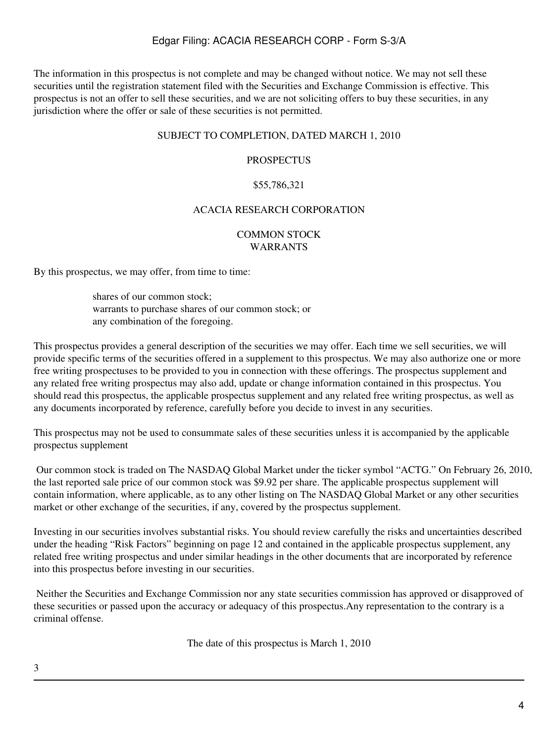The information in this prospectus is not complete and may be changed without notice. We may not sell these securities until the registration statement filed with the Securities and Exchange Commission is effective. This prospectus is not an offer to sell these securities, and we are not soliciting offers to buy these securities, in any jurisdiction where the offer or sale of these securities is not permitted.

#### SUBJECT TO COMPLETION, DATED MARCH 1, 2010

#### PROSPECTUS

#### \$55,786,321

#### ACACIA RESEARCH CORPORATION

#### COMMON STOCK WARRANTS

By this prospectus, we may offer, from time to time:

shares of our common stock; warrants to purchase shares of our common stock; or any combination of the foregoing.

This prospectus provides a general description of the securities we may offer. Each time we sell securities, we will provide specific terms of the securities offered in a supplement to this prospectus. We may also authorize one or more free writing prospectuses to be provided to you in connection with these offerings. The prospectus supplement and any related free writing prospectus may also add, update or change information contained in this prospectus. You should read this prospectus, the applicable prospectus supplement and any related free writing prospectus, as well as any documents incorporated by reference, carefully before you decide to invest in any securities.

This prospectus may not be used to consummate sales of these securities unless it is accompanied by the applicable prospectus supplement

 Our common stock is traded on The NASDAQ Global Market under the ticker symbol "ACTG." On February 26, 2010, the last reported sale price of our common stock was \$9.92 per share. The applicable prospectus supplement will contain information, where applicable, as to any other listing on The NASDAQ Global Market or any other securities market or other exchange of the securities, if any, covered by the prospectus supplement.

Investing in our securities involves substantial risks. You should review carefully the risks and uncertainties described under the heading "Risk Factors" beginning on page 12 and contained in the applicable prospectus supplement, any related free writing prospectus and under similar headings in the other documents that are incorporated by reference into this prospectus before investing in our securities.

 Neither the Securities and Exchange Commission nor any state securities commission has approved or disapproved of these securities or passed upon the accuracy or adequacy of this prospectus.Any representation to the contrary is a criminal offense.

The date of this prospectus is March 1, 2010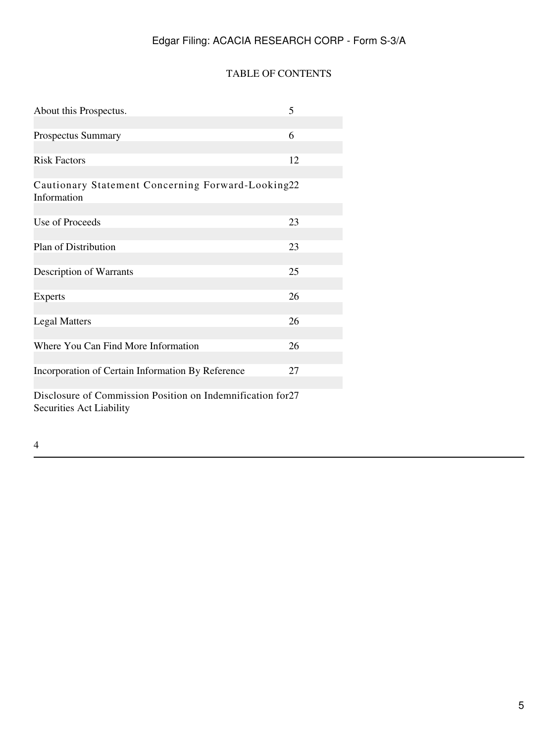### TABLE OF CONTENTS

| About this Prospectus.                                           | 5  |  |  |  |
|------------------------------------------------------------------|----|--|--|--|
|                                                                  |    |  |  |  |
| Prospectus Summary                                               | 6  |  |  |  |
|                                                                  |    |  |  |  |
| <b>Risk Factors</b>                                              | 12 |  |  |  |
|                                                                  |    |  |  |  |
| Cautionary Statement Concerning Forward-Looking22<br>Information |    |  |  |  |
|                                                                  |    |  |  |  |
| Use of Proceeds                                                  | 23 |  |  |  |
|                                                                  |    |  |  |  |
| Plan of Distribution                                             | 23 |  |  |  |
|                                                                  |    |  |  |  |
| Description of Warrants                                          | 25 |  |  |  |
| <b>Experts</b>                                                   | 26 |  |  |  |
|                                                                  |    |  |  |  |
| <b>Legal Matters</b>                                             | 26 |  |  |  |
|                                                                  |    |  |  |  |
| Where You Can Find More Information                              | 26 |  |  |  |
|                                                                  |    |  |  |  |
| Incorporation of Certain Information By Reference                | 27 |  |  |  |
|                                                                  |    |  |  |  |
| Disclosure of Commission Position on Indemnification for 27      |    |  |  |  |
| Securities Act Liability                                         |    |  |  |  |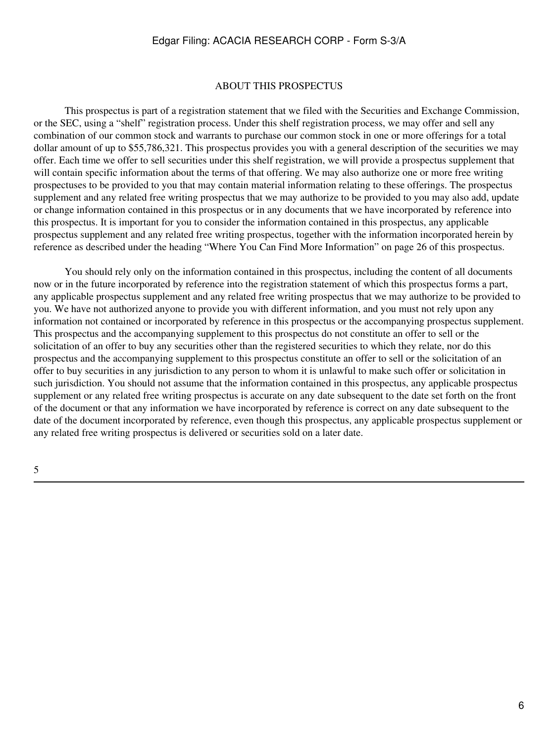#### ABOUT THIS PROSPECTUS

 This prospectus is part of a registration statement that we filed with the Securities and Exchange Commission, or the SEC, using a "shelf" registration process. Under this shelf registration process, we may offer and sell any combination of our common stock and warrants to purchase our common stock in one or more offerings for a total dollar amount of up to \$55,786,321. This prospectus provides you with a general description of the securities we may offer. Each time we offer to sell securities under this shelf registration, we will provide a prospectus supplement that will contain specific information about the terms of that offering. We may also authorize one or more free writing prospectuses to be provided to you that may contain material information relating to these offerings. The prospectus supplement and any related free writing prospectus that we may authorize to be provided to you may also add, update or change information contained in this prospectus or in any documents that we have incorporated by reference into this prospectus. It is important for you to consider the information contained in this prospectus, any applicable prospectus supplement and any related free writing prospectus, together with the information incorporated herein by reference as described under the heading "Where You Can Find More Information" on page 26 of this prospectus.

 You should rely only on the information contained in this prospectus, including the content of all documents now or in the future incorporated by reference into the registration statement of which this prospectus forms a part, any applicable prospectus supplement and any related free writing prospectus that we may authorize to be provided to you. We have not authorized anyone to provide you with different information, and you must not rely upon any information not contained or incorporated by reference in this prospectus or the accompanying prospectus supplement. This prospectus and the accompanying supplement to this prospectus do not constitute an offer to sell or the solicitation of an offer to buy any securities other than the registered securities to which they relate, nor do this prospectus and the accompanying supplement to this prospectus constitute an offer to sell or the solicitation of an offer to buy securities in any jurisdiction to any person to whom it is unlawful to make such offer or solicitation in such jurisdiction. You should not assume that the information contained in this prospectus, any applicable prospectus supplement or any related free writing prospectus is accurate on any date subsequent to the date set forth on the front of the document or that any information we have incorporated by reference is correct on any date subsequent to the date of the document incorporated by reference, even though this prospectus, any applicable prospectus supplement or any related free writing prospectus is delivered or securities sold on a later date.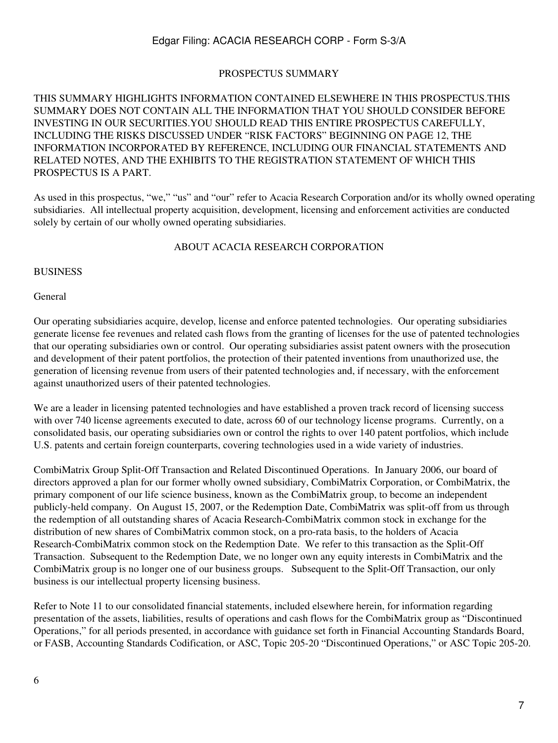### PROSPECTUS SUMMARY

### THIS SUMMARY HIGHLIGHTS INFORMATION CONTAINED ELSEWHERE IN THIS PROSPECTUS.THIS SUMMARY DOES NOT CONTAIN ALL THE INFORMATION THAT YOU SHOULD CONSIDER BEFORE INVESTING IN OUR SECURITIES.YOU SHOULD READ THIS ENTIRE PROSPECTUS CAREFULLY, INCLUDING THE RISKS DISCUSSED UNDER "RISK FACTORS" BEGINNING ON PAGE 12, THE INFORMATION INCORPORATED BY REFERENCE, INCLUDING OUR FINANCIAL STATEMENTS AND RELATED NOTES, AND THE EXHIBITS TO THE REGISTRATION STATEMENT OF WHICH THIS PROSPECTUS IS A PART.

As used in this prospectus, "we," "us" and "our" refer to Acacia Research Corporation and/or its wholly owned operating subsidiaries. All intellectual property acquisition, development, licensing and enforcement activities are conducted solely by certain of our wholly owned operating subsidiaries.

### ABOUT ACACIA RESEARCH CORPORATION

#### BUSINESS

#### General

Our operating subsidiaries acquire, develop, license and enforce patented technologies. Our operating subsidiaries generate license fee revenues and related cash flows from the granting of licenses for the use of patented technologies that our operating subsidiaries own or control. Our operating subsidiaries assist patent owners with the prosecution and development of their patent portfolios, the protection of their patented inventions from unauthorized use, the generation of licensing revenue from users of their patented technologies and, if necessary, with the enforcement against unauthorized users of their patented technologies.

We are a leader in licensing patented technologies and have established a proven track record of licensing success with over 740 license agreements executed to date, across 60 of our technology license programs. Currently, on a consolidated basis, our operating subsidiaries own or control the rights to over 140 patent portfolios, which include U.S. patents and certain foreign counterparts, covering technologies used in a wide variety of industries.

CombiMatrix Group Split-Off Transaction and Related Discontinued Operations. In January 2006, our board of directors approved a plan for our former wholly owned subsidiary, CombiMatrix Corporation, or CombiMatrix, the primary component of our life science business, known as the CombiMatrix group, to become an independent publicly-held company. On August 15, 2007, or the Redemption Date, CombiMatrix was split-off from us through the redemption of all outstanding shares of Acacia Research-CombiMatrix common stock in exchange for the distribution of new shares of CombiMatrix common stock, on a pro-rata basis, to the holders of Acacia Research-CombiMatrix common stock on the Redemption Date. We refer to this transaction as the Split-Off Transaction. Subsequent to the Redemption Date, we no longer own any equity interests in CombiMatrix and the CombiMatrix group is no longer one of our business groups. Subsequent to the Split-Off Transaction, our only business is our intellectual property licensing business.

Refer to Note 11 to our consolidated financial statements, included elsewhere herein, for information regarding presentation of the assets, liabilities, results of operations and cash flows for the CombiMatrix group as "Discontinued Operations," for all periods presented, in accordance with guidance set forth in Financial Accounting Standards Board, or FASB, Accounting Standards Codification, or ASC, Topic 205-20 "Discontinued Operations," or ASC Topic 205-20.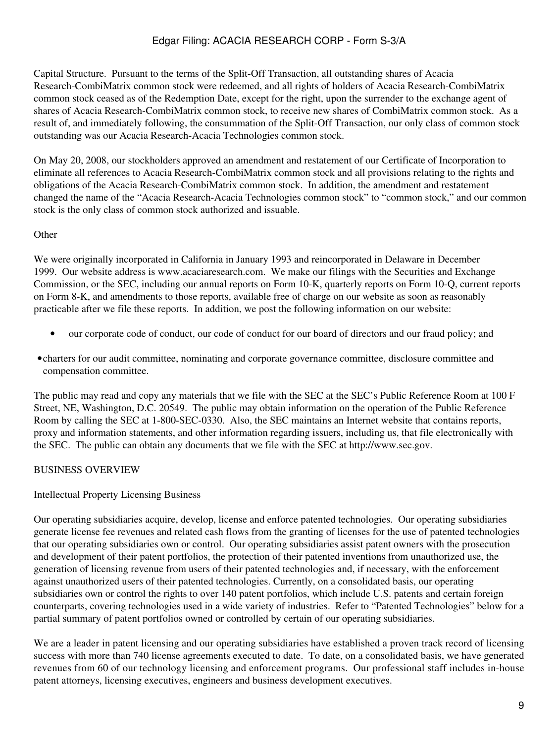Capital Structure. Pursuant to the terms of the Split-Off Transaction, all outstanding shares of Acacia Research-CombiMatrix common stock were redeemed, and all rights of holders of Acacia Research-CombiMatrix common stock ceased as of the Redemption Date, except for the right, upon the surrender to the exchange agent of shares of Acacia Research-CombiMatrix common stock, to receive new shares of CombiMatrix common stock. As a result of, and immediately following, the consummation of the Split-Off Transaction, our only class of common stock outstanding was our Acacia Research-Acacia Technologies common stock.

On May 20, 2008, our stockholders approved an amendment and restatement of our Certificate of Incorporation to eliminate all references to Acacia Research-CombiMatrix common stock and all provisions relating to the rights and obligations of the Acacia Research-CombiMatrix common stock. In addition, the amendment and restatement changed the name of the "Acacia Research-Acacia Technologies common stock" to "common stock," and our common stock is the only class of common stock authorized and issuable.

### **Other**

We were originally incorporated in California in January 1993 and reincorporated in Delaware in December 1999. Our website address is www.acaciaresearch.com. We make our filings with the Securities and Exchange Commission, or the SEC, including our annual reports on Form 10-K, quarterly reports on Form 10-Q, current reports on Form 8-K, and amendments to those reports, available free of charge on our website as soon as reasonably practicable after we file these reports. In addition, we post the following information on our website:

- our corporate code of conduct, our code of conduct for our board of directors and our fraud policy; and
- •charters for our audit committee, nominating and corporate governance committee, disclosure committee and compensation committee.

The public may read and copy any materials that we file with the SEC at the SEC's Public Reference Room at 100 F Street, NE, Washington, D.C. 20549. The public may obtain information on the operation of the Public Reference Room by calling the SEC at 1-800-SEC-0330. Also, the SEC maintains an Internet website that contains reports, proxy and information statements, and other information regarding issuers, including us, that file electronically with the SEC. The public can obtain any documents that we file with the SEC at http://www.sec.gov.

# BUSINESS OVERVIEW

### Intellectual Property Licensing Business

Our operating subsidiaries acquire, develop, license and enforce patented technologies. Our operating subsidiaries generate license fee revenues and related cash flows from the granting of licenses for the use of patented technologies that our operating subsidiaries own or control. Our operating subsidiaries assist patent owners with the prosecution and development of their patent portfolios, the protection of their patented inventions from unauthorized use, the generation of licensing revenue from users of their patented technologies and, if necessary, with the enforcement against unauthorized users of their patented technologies. Currently, on a consolidated basis, our operating subsidiaries own or control the rights to over 140 patent portfolios, which include U.S. patents and certain foreign counterparts, covering technologies used in a wide variety of industries. Refer to "Patented Technologies" below for a partial summary of patent portfolios owned or controlled by certain of our operating subsidiaries.

We are a leader in patent licensing and our operating subsidiaries have established a proven track record of licensing success with more than 740 license agreements executed to date. To date, on a consolidated basis, we have generated revenues from 60 of our technology licensing and enforcement programs. Our professional staff includes in-house patent attorneys, licensing executives, engineers and business development executives.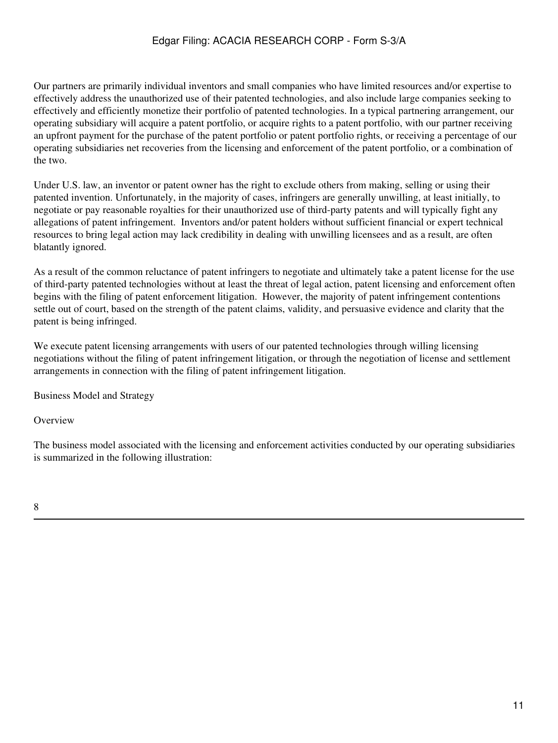Our partners are primarily individual inventors and small companies who have limited resources and/or expertise to effectively address the unauthorized use of their patented technologies, and also include large companies seeking to effectively and efficiently monetize their portfolio of patented technologies. In a typical partnering arrangement, our operating subsidiary will acquire a patent portfolio, or acquire rights to a patent portfolio, with our partner receiving an upfront payment for the purchase of the patent portfolio or patent portfolio rights, or receiving a percentage of our operating subsidiaries net recoveries from the licensing and enforcement of the patent portfolio, or a combination of the two.

Under U.S. law, an inventor or patent owner has the right to exclude others from making, selling or using their patented invention. Unfortunately, in the majority of cases, infringers are generally unwilling, at least initially, to negotiate or pay reasonable royalties for their unauthorized use of third-party patents and will typically fight any allegations of patent infringement. Inventors and/or patent holders without sufficient financial or expert technical resources to bring legal action may lack credibility in dealing with unwilling licensees and as a result, are often blatantly ignored.

As a result of the common reluctance of patent infringers to negotiate and ultimately take a patent license for the use of third-party patented technologies without at least the threat of legal action, patent licensing and enforcement often begins with the filing of patent enforcement litigation. However, the majority of patent infringement contentions settle out of court, based on the strength of the patent claims, validity, and persuasive evidence and clarity that the patent is being infringed.

We execute patent licensing arrangements with users of our patented technologies through willing licensing negotiations without the filing of patent infringement litigation, or through the negotiation of license and settlement arrangements in connection with the filing of patent infringement litigation.

Business Model and Strategy

**Overview** 

The business model associated with the licensing and enforcement activities conducted by our operating subsidiaries is summarized in the following illustration: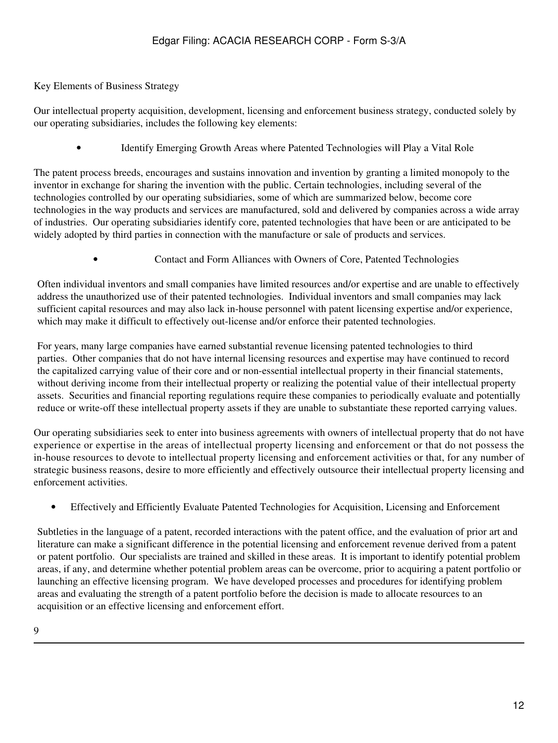### Key Elements of Business Strategy

Our intellectual property acquisition, development, licensing and enforcement business strategy, conducted solely by our operating subsidiaries, includes the following key elements:

• Identify Emerging Growth Areas where Patented Technologies will Play a Vital Role

The patent process breeds, encourages and sustains innovation and invention by granting a limited monopoly to the inventor in exchange for sharing the invention with the public. Certain technologies, including several of the technologies controlled by our operating subsidiaries, some of which are summarized below, become core technologies in the way products and services are manufactured, sold and delivered by companies across a wide array of industries. Our operating subsidiaries identify core, patented technologies that have been or are anticipated to be widely adopted by third parties in connection with the manufacture or sale of products and services.

• Contact and Form Alliances with Owners of Core, Patented Technologies

Often individual inventors and small companies have limited resources and/or expertise and are unable to effectively address the unauthorized use of their patented technologies. Individual inventors and small companies may lack sufficient capital resources and may also lack in-house personnel with patent licensing expertise and/or experience, which may make it difficult to effectively out-license and/or enforce their patented technologies.

For years, many large companies have earned substantial revenue licensing patented technologies to third parties. Other companies that do not have internal licensing resources and expertise may have continued to record the capitalized carrying value of their core and or non-essential intellectual property in their financial statements, without deriving income from their intellectual property or realizing the potential value of their intellectual property assets. Securities and financial reporting regulations require these companies to periodically evaluate and potentially reduce or write-off these intellectual property assets if they are unable to substantiate these reported carrying values.

Our operating subsidiaries seek to enter into business agreements with owners of intellectual property that do not have experience or expertise in the areas of intellectual property licensing and enforcement or that do not possess the in-house resources to devote to intellectual property licensing and enforcement activities or that, for any number of strategic business reasons, desire to more efficiently and effectively outsource their intellectual property licensing and enforcement activities.

• Effectively and Efficiently Evaluate Patented Technologies for Acquisition, Licensing and Enforcement

Subtleties in the language of a patent, recorded interactions with the patent office, and the evaluation of prior art and literature can make a significant difference in the potential licensing and enforcement revenue derived from a patent or patent portfolio. Our specialists are trained and skilled in these areas. It is important to identify potential problem areas, if any, and determine whether potential problem areas can be overcome, prior to acquiring a patent portfolio or launching an effective licensing program. We have developed processes and procedures for identifying problem areas and evaluating the strength of a patent portfolio before the decision is made to allocate resources to an acquisition or an effective licensing and enforcement effort.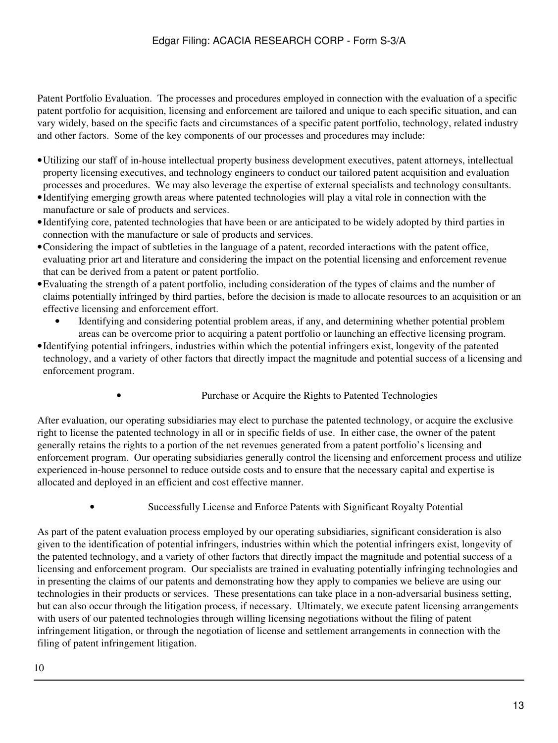Patent Portfolio Evaluation. The processes and procedures employed in connection with the evaluation of a specific patent portfolio for acquisition, licensing and enforcement are tailored and unique to each specific situation, and can vary widely, based on the specific facts and circumstances of a specific patent portfolio, technology, related industry and other factors. Some of the key components of our processes and procedures may include:

- •Utilizing our staff of in-house intellectual property business development executives, patent attorneys, intellectual property licensing executives, and technology engineers to conduct our tailored patent acquisition and evaluation processes and procedures. We may also leverage the expertise of external specialists and technology consultants.
- •Identifying emerging growth areas where patented technologies will play a vital role in connection with the manufacture or sale of products and services.
- •Identifying core, patented technologies that have been or are anticipated to be widely adopted by third parties in connection with the manufacture or sale of products and services.
- •Considering the impact of subtleties in the language of a patent, recorded interactions with the patent office, evaluating prior art and literature and considering the impact on the potential licensing and enforcement revenue that can be derived from a patent or patent portfolio.
- •Evaluating the strength of a patent portfolio, including consideration of the types of claims and the number of claims potentially infringed by third parties, before the decision is made to allocate resources to an acquisition or an effective licensing and enforcement effort.
	- Identifying and considering potential problem areas, if any, and determining whether potential problem areas can be overcome prior to acquiring a patent portfolio or launching an effective licensing program.
- •Identifying potential infringers, industries within which the potential infringers exist, longevity of the patented technology, and a variety of other factors that directly impact the magnitude and potential success of a licensing and enforcement program.
	-
- Purchase or Acquire the Rights to Patented Technologies

After evaluation, our operating subsidiaries may elect to purchase the patented technology, or acquire the exclusive right to license the patented technology in all or in specific fields of use. In either case, the owner of the patent generally retains the rights to a portion of the net revenues generated from a patent portfolio's licensing and enforcement program. Our operating subsidiaries generally control the licensing and enforcement process and utilize experienced in-house personnel to reduce outside costs and to ensure that the necessary capital and expertise is allocated and deployed in an efficient and cost effective manner.

• Successfully License and Enforce Patents with Significant Royalty Potential

As part of the patent evaluation process employed by our operating subsidiaries, significant consideration is also given to the identification of potential infringers, industries within which the potential infringers exist, longevity of the patented technology, and a variety of other factors that directly impact the magnitude and potential success of a licensing and enforcement program. Our specialists are trained in evaluating potentially infringing technologies and in presenting the claims of our patents and demonstrating how they apply to companies we believe are using our technologies in their products or services. These presentations can take place in a non-adversarial business setting, but can also occur through the litigation process, if necessary. Ultimately, we execute patent licensing arrangements with users of our patented technologies through willing licensing negotiations without the filing of patent infringement litigation, or through the negotiation of license and settlement arrangements in connection with the filing of patent infringement litigation.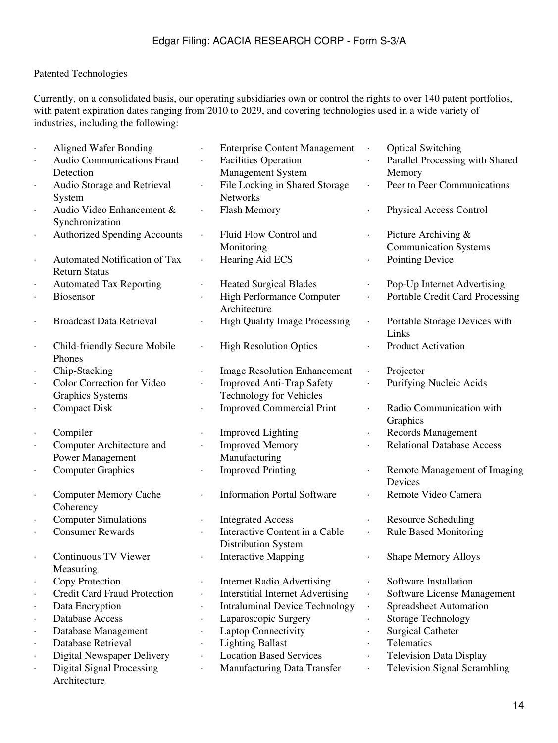# Patented Technologies

Currently, on a consolidated basis, our operating subsidiaries own or control the rights to over 140 patent portfolios, with patent expiration dates ranging from 2010 to 2029, and covering technologies used in a wide variety of industries, including the following:

|                      | <b>Aligned Wafer Bonding</b>        |           | <b>Enterprise Content Management</b>     |                      | <b>Optical Switching</b>            |
|----------------------|-------------------------------------|-----------|------------------------------------------|----------------------|-------------------------------------|
|                      | <b>Audio Communications Fraud</b>   |           | <b>Facilities Operation</b>              |                      | Parallel Processing with Shared     |
|                      | Detection                           |           | <b>Management System</b>                 |                      | Memory                              |
|                      | Audio Storage and Retrieval         |           | File Locking in Shared Storage           |                      | Peer to Peer Communications         |
|                      | System                              |           | <b>Networks</b>                          |                      |                                     |
|                      | Audio Video Enhancement &           |           | Flash Memory                             |                      | <b>Physical Access Control</b>      |
|                      | Synchronization                     |           |                                          |                      |                                     |
| $\blacksquare$       | <b>Authorized Spending Accounts</b> | $\bullet$ | Fluid Flow Control and                   |                      | Picture Archiving &                 |
|                      |                                     |           | Monitoring                               |                      | <b>Communication Systems</b>        |
|                      | Automated Notification of Tax       |           | Hearing Aid ECS                          |                      | Pointing Device                     |
|                      | <b>Return Status</b>                |           |                                          |                      |                                     |
| $\bullet$            | <b>Automated Tax Reporting</b>      | $\bullet$ | <b>Heated Surgical Blades</b>            |                      | Pop-Up Internet Advertising         |
|                      | Biosensor                           |           | High Performance Computer                |                      | Portable Credit Card Processing     |
|                      |                                     |           | Architecture                             |                      |                                     |
|                      | <b>Broadcast Data Retrieval</b>     |           | <b>High Quality Image Processing</b>     |                      | Portable Storage Devices with       |
|                      |                                     |           |                                          |                      | Links                               |
| $\bullet$            | Child-friendly Secure Mobile        |           | <b>High Resolution Optics</b>            |                      | Product Activation                  |
|                      | Phones                              |           |                                          |                      |                                     |
|                      | Chip-Stacking                       |           | <b>Image Resolution Enhancement</b>      | $\bullet$            | Projector                           |
|                      | Color Correction for Video          |           | <b>Improved Anti-Trap Safety</b>         |                      | Purifying Nucleic Acids             |
|                      | <b>Graphics Systems</b>             |           | <b>Technology for Vehicles</b>           |                      |                                     |
| $\ddot{\phantom{0}}$ | <b>Compact Disk</b>                 |           | <b>Improved Commercial Print</b>         |                      | Radio Communication with            |
|                      |                                     |           |                                          |                      | Graphics                            |
| $\cdot$              | Compiler                            |           | <b>Improved Lighting</b>                 |                      | Records Management                  |
|                      | Computer Architecture and           |           | <b>Improved Memory</b>                   |                      | <b>Relational Database Access</b>   |
|                      | <b>Power Management</b>             |           | Manufacturing                            |                      |                                     |
| $\blacksquare$       | <b>Computer Graphics</b>            |           | <b>Improved Printing</b>                 |                      | Remote Management of Imaging        |
|                      |                                     |           |                                          |                      | Devices                             |
| $\bullet$            | <b>Computer Memory Cache</b>        |           | <b>Information Portal Software</b>       |                      | Remote Video Camera                 |
|                      | Coherency                           |           |                                          |                      |                                     |
| $\bullet$            | <b>Computer Simulations</b>         | $\bullet$ | <b>Integrated Access</b>                 |                      | <b>Resource Scheduling</b>          |
|                      | <b>Consumer Rewards</b>             |           | Interactive Content in a Cable           |                      | <b>Rule Based Monitoring</b>        |
|                      |                                     |           | Distribution System                      |                      |                                     |
|                      | <b>Continuous TV Viewer</b>         |           | <b>Interactive Mapping</b>               |                      | <b>Shape Memory Alloys</b>          |
|                      | Measuring                           |           |                                          |                      |                                     |
|                      | Copy Protection                     |           | <b>Internet Radio Advertising</b>        |                      | Software Installation               |
|                      | <b>Credit Card Fraud Protection</b> |           | <b>Interstitial Internet Advertising</b> | $\ddot{\phantom{0}}$ | Software License Management         |
|                      | Data Encryption                     |           | <b>Intraluminal Device Technology</b>    | $\ddot{\phantom{0}}$ | Spreadsheet Automation              |
|                      | Database Access                     | $\bullet$ | Laparoscopic Surgery                     |                      | <b>Storage Technology</b>           |
|                      | Database Management                 | $\bullet$ | <b>Laptop Connectivity</b>               |                      | <b>Surgical Catheter</b>            |
|                      | Database Retrieval                  | $\bullet$ | <b>Lighting Ballast</b>                  | $\bullet$            | Telematics                          |
|                      | <b>Digital Newspaper Delivery</b>   | $\bullet$ | <b>Location Based Services</b>           | $\bullet$            | <b>Television Data Display</b>      |
|                      | <b>Digital Signal Processing</b>    |           | Manufacturing Data Transfer              | $\bullet$            | <b>Television Signal Scrambling</b> |
|                      | Architecture                        |           |                                          |                      |                                     |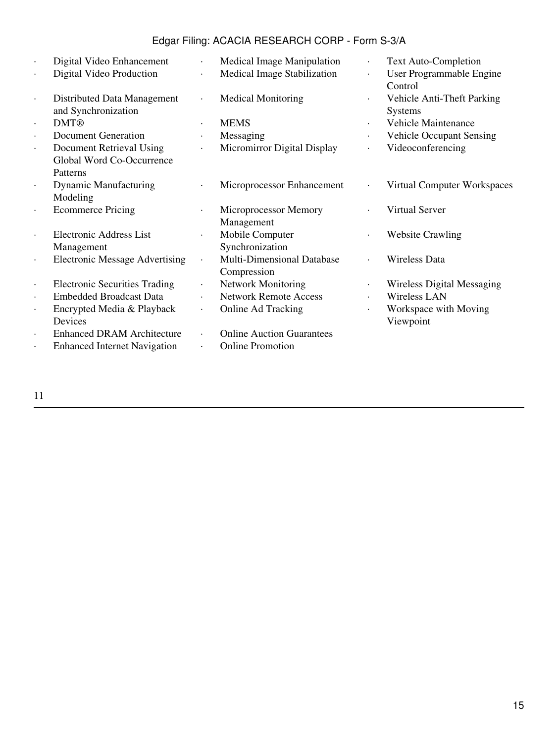| $\ddot{\phantom{0}}$ | Digital Video Enhancement                          |           | Medical Image Manipulation        | $\bullet$ | <b>Text Auto-Completion</b>                  |
|----------------------|----------------------------------------------------|-----------|-----------------------------------|-----------|----------------------------------------------|
| $\cdot$              | Digital Video Production                           | $\bullet$ | Medical Image Stabilization       | ٠         | User Programmable Engine<br>Control          |
| $\ddot{\phantom{0}}$ | Distributed Data Management<br>and Synchronization |           | <b>Medical Monitoring</b>         | $\bullet$ | Vehicle Anti-Theft Parking<br><b>Systems</b> |
| $\ddot{\phantom{0}}$ | <b>DMT®</b>                                        |           | <b>MEMS</b>                       | $\bullet$ | Vehicle Maintenance                          |
| $\ddot{\phantom{0}}$ | Document Generation                                |           | Messaging                         | $\bullet$ | <b>Vehicle Occupant Sensing</b>              |
| $\bullet$            | Document Retrieval Using                           |           | Micromirror Digital Display       | $\bullet$ | Videoconferencing                            |
|                      | Global Word Co-Occurrence                          |           |                                   |           |                                              |
|                      | Patterns                                           |           |                                   |           |                                              |
| $\ddot{\phantom{0}}$ | <b>Dynamic Manufacturing</b>                       |           | Microprocessor Enhancement        |           | Virtual Computer Workspaces                  |
|                      | Modeling                                           |           |                                   |           |                                              |
| $\bullet$            | <b>Ecommerce Pricing</b>                           |           | Microprocessor Memory             |           | Virtual Server                               |
|                      |                                                    |           | Management                        |           |                                              |
|                      | <b>Electronic Address List</b>                     |           | Mobile Computer                   | $\bullet$ | <b>Website Crawling</b>                      |
|                      | Management                                         |           | Synchronization                   |           |                                              |
|                      | <b>Electronic Message Advertising</b>              | $\bullet$ | <b>Multi-Dimensional Database</b> |           | Wireless Data                                |
|                      |                                                    |           | Compression                       |           |                                              |
| $\cdot$              | <b>Electronic Securities Trading</b>               |           | <b>Network Monitoring</b>         |           | <b>Wireless Digital Messaging</b>            |
| $\ddot{\phantom{0}}$ | <b>Embedded Broadcast Data</b>                     |           | <b>Network Remote Access</b>      | $\bullet$ | Wireless LAN                                 |
| $\bullet$            | Encrypted Media & Playback                         | $\bullet$ | Online Ad Tracking                | $\bullet$ | Workspace with Moving                        |
|                      | Devices                                            |           |                                   |           | Viewpoint                                    |
| $\ddot{\phantom{0}}$ | <b>Enhanced DRAM Architecture</b>                  |           | <b>Online Auction Guarantees</b>  |           |                                              |
|                      | <b>Enhanced Internet Navigation</b>                |           | <b>Online Promotion</b>           |           |                                              |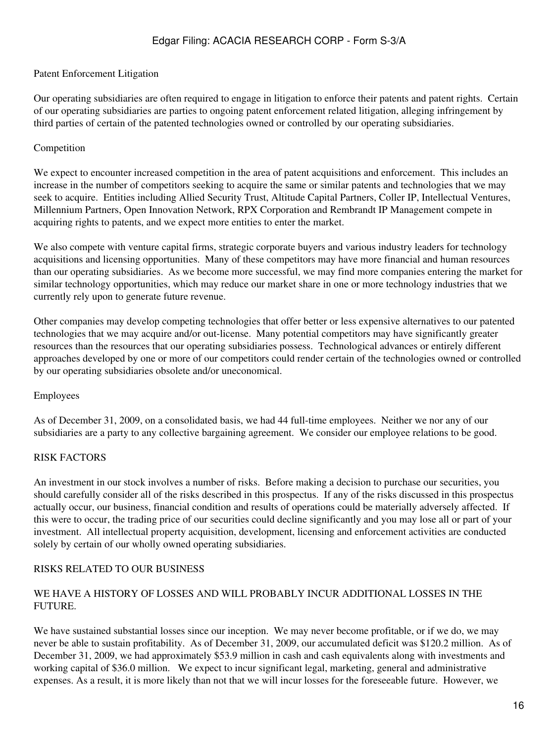#### Patent Enforcement Litigation

Our operating subsidiaries are often required to engage in litigation to enforce their patents and patent rights. Certain of our operating subsidiaries are parties to ongoing patent enforcement related litigation, alleging infringement by third parties of certain of the patented technologies owned or controlled by our operating subsidiaries.

#### Competition

We expect to encounter increased competition in the area of patent acquisitions and enforcement. This includes an increase in the number of competitors seeking to acquire the same or similar patents and technologies that we may seek to acquire. Entities including Allied Security Trust, Altitude Capital Partners, Coller IP, Intellectual Ventures, Millennium Partners, Open Innovation Network, RPX Corporation and Rembrandt IP Management compete in acquiring rights to patents, and we expect more entities to enter the market.

We also compete with venture capital firms, strategic corporate buyers and various industry leaders for technology acquisitions and licensing opportunities. Many of these competitors may have more financial and human resources than our operating subsidiaries. As we become more successful, we may find more companies entering the market for similar technology opportunities, which may reduce our market share in one or more technology industries that we currently rely upon to generate future revenue.

Other companies may develop competing technologies that offer better or less expensive alternatives to our patented technologies that we may acquire and/or out-license. Many potential competitors may have significantly greater resources than the resources that our operating subsidiaries possess. Technological advances or entirely different approaches developed by one or more of our competitors could render certain of the technologies owned or controlled by our operating subsidiaries obsolete and/or uneconomical.

#### Employees

As of December 31, 2009, on a consolidated basis, we had 44 full-time employees. Neither we nor any of our subsidiaries are a party to any collective bargaining agreement. We consider our employee relations to be good.

### RISK FACTORS

An investment in our stock involves a number of risks. Before making a decision to purchase our securities, you should carefully consider all of the risks described in this prospectus. If any of the risks discussed in this prospectus actually occur, our business, financial condition and results of operations could be materially adversely affected. If this were to occur, the trading price of our securities could decline significantly and you may lose all or part of your investment. All intellectual property acquisition, development, licensing and enforcement activities are conducted solely by certain of our wholly owned operating subsidiaries.

### RISKS RELATED TO OUR BUSINESS

#### WE HAVE A HISTORY OF LOSSES AND WILL PROBABLY INCUR ADDITIONAL LOSSES IN THE **FUTURE**

We have sustained substantial losses since our inception. We may never become profitable, or if we do, we may never be able to sustain profitability. As of December 31, 2009, our accumulated deficit was \$120.2 million. As of December 31, 2009, we had approximately \$53.9 million in cash and cash equivalents along with investments and working capital of \$36.0 million. We expect to incur significant legal, marketing, general and administrative expenses. As a result, it is more likely than not that we will incur losses for the foreseeable future. However, we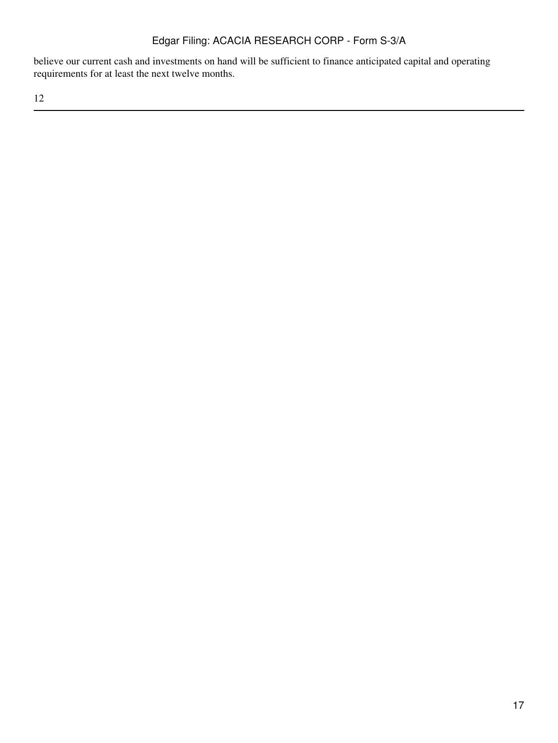believe our current cash and investments on hand will be sufficient to finance anticipated capital and operating requirements for at least the next twelve months.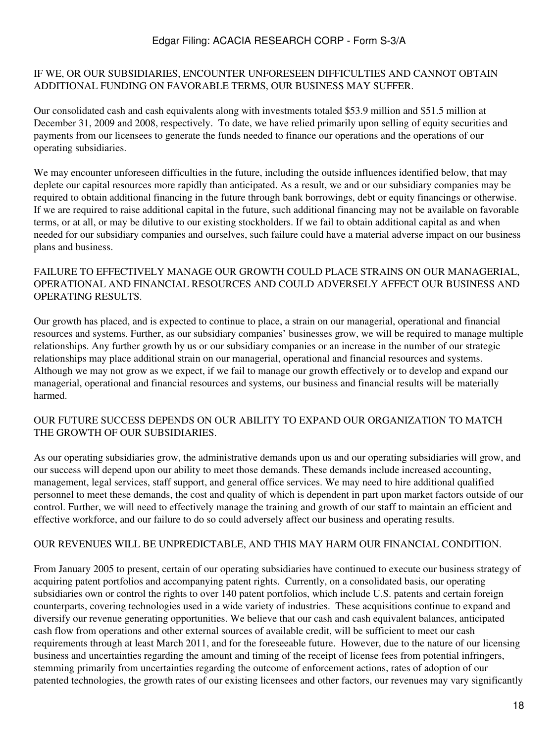#### IF WE, OR OUR SUBSIDIARIES, ENCOUNTER UNFORESEEN DIFFICULTIES AND CANNOT OBTAIN ADDITIONAL FUNDING ON FAVORABLE TERMS, OUR BUSINESS MAY SUFFER.

Our consolidated cash and cash equivalents along with investments totaled \$53.9 million and \$51.5 million at December 31, 2009 and 2008, respectively. To date, we have relied primarily upon selling of equity securities and payments from our licensees to generate the funds needed to finance our operations and the operations of our operating subsidiaries.

We may encounter unforeseen difficulties in the future, including the outside influences identified below, that may deplete our capital resources more rapidly than anticipated. As a result, we and or our subsidiary companies may be required to obtain additional financing in the future through bank borrowings, debt or equity financings or otherwise. If we are required to raise additional capital in the future, such additional financing may not be available on favorable terms, or at all, or may be dilutive to our existing stockholders. If we fail to obtain additional capital as and when needed for our subsidiary companies and ourselves, such failure could have a material adverse impact on our business plans and business.

### FAILURE TO EFFECTIVELY MANAGE OUR GROWTH COULD PLACE STRAINS ON OUR MANAGERIAL, OPERATIONAL AND FINANCIAL RESOURCES AND COULD ADVERSELY AFFECT OUR BUSINESS AND OPERATING RESULTS.

Our growth has placed, and is expected to continue to place, a strain on our managerial, operational and financial resources and systems. Further, as our subsidiary companies' businesses grow, we will be required to manage multiple relationships. Any further growth by us or our subsidiary companies or an increase in the number of our strategic relationships may place additional strain on our managerial, operational and financial resources and systems. Although we may not grow as we expect, if we fail to manage our growth effectively or to develop and expand our managerial, operational and financial resources and systems, our business and financial results will be materially harmed.

### OUR FUTURE SUCCESS DEPENDS ON OUR ABILITY TO EXPAND OUR ORGANIZATION TO MATCH THE GROWTH OF OUR SUBSIDIARIES.

As our operating subsidiaries grow, the administrative demands upon us and our operating subsidiaries will grow, and our success will depend upon our ability to meet those demands. These demands include increased accounting, management, legal services, staff support, and general office services. We may need to hire additional qualified personnel to meet these demands, the cost and quality of which is dependent in part upon market factors outside of our control. Further, we will need to effectively manage the training and growth of our staff to maintain an efficient and effective workforce, and our failure to do so could adversely affect our business and operating results.

### OUR REVENUES WILL BE UNPREDICTABLE, AND THIS MAY HARM OUR FINANCIAL CONDITION.

From January 2005 to present, certain of our operating subsidiaries have continued to execute our business strategy of acquiring patent portfolios and accompanying patent rights. Currently, on a consolidated basis, our operating subsidiaries own or control the rights to over 140 patent portfolios, which include U.S. patents and certain foreign counterparts, covering technologies used in a wide variety of industries. These acquisitions continue to expand and diversify our revenue generating opportunities. We believe that our cash and cash equivalent balances, anticipated cash flow from operations and other external sources of available credit, will be sufficient to meet our cash requirements through at least March 2011, and for the foreseeable future. However, due to the nature of our licensing business and uncertainties regarding the amount and timing of the receipt of license fees from potential infringers, stemming primarily from uncertainties regarding the outcome of enforcement actions, rates of adoption of our patented technologies, the growth rates of our existing licensees and other factors, our revenues may vary significantly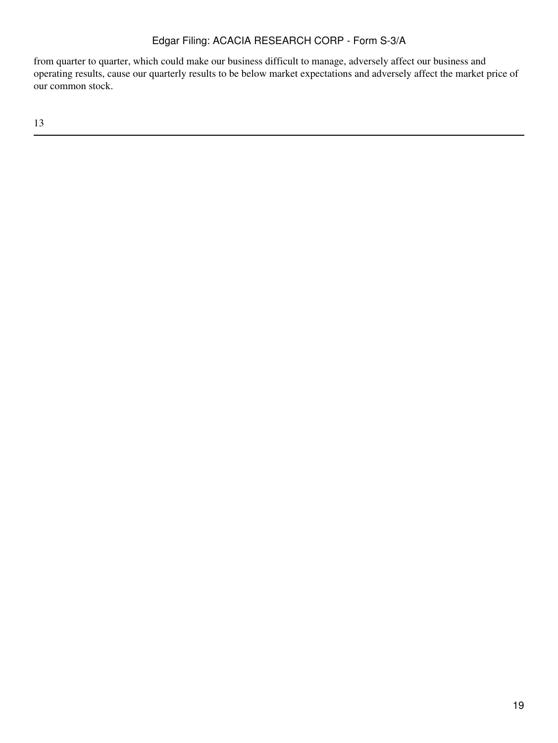from quarter to quarter, which could make our business difficult to manage, adversely affect our business and operating results, cause our quarterly results to be below market expectations and adversely affect the market price of our common stock.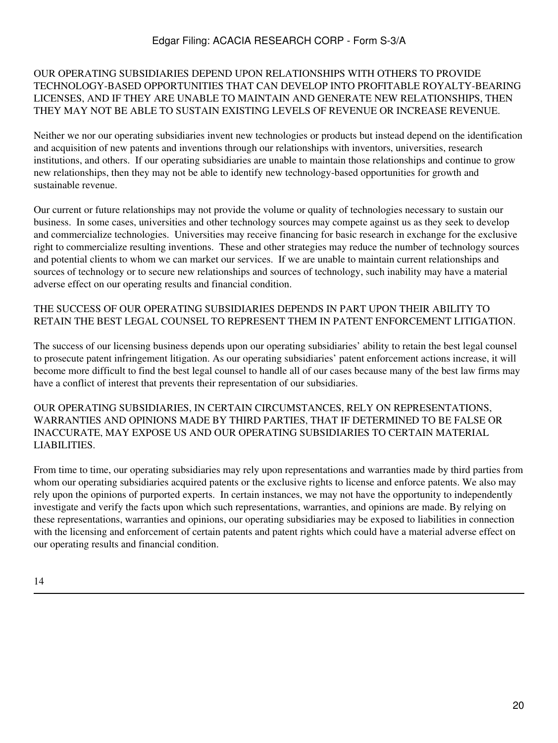### OUR OPERATING SUBSIDIARIES DEPEND UPON RELATIONSHIPS WITH OTHERS TO PROVIDE TECHNOLOGY-BASED OPPORTUNITIES THAT CAN DEVELOP INTO PROFITABLE ROYALTY-BEARING LICENSES, AND IF THEY ARE UNABLE TO MAINTAIN AND GENERATE NEW RELATIONSHIPS, THEN THEY MAY NOT BE ABLE TO SUSTAIN EXISTING LEVELS OF REVENUE OR INCREASE REVENUE.

Neither we nor our operating subsidiaries invent new technologies or products but instead depend on the identification and acquisition of new patents and inventions through our relationships with inventors, universities, research institutions, and others. If our operating subsidiaries are unable to maintain those relationships and continue to grow new relationships, then they may not be able to identify new technology-based opportunities for growth and sustainable revenue.

Our current or future relationships may not provide the volume or quality of technologies necessary to sustain our business. In some cases, universities and other technology sources may compete against us as they seek to develop and commercialize technologies. Universities may receive financing for basic research in exchange for the exclusive right to commercialize resulting inventions. These and other strategies may reduce the number of technology sources and potential clients to whom we can market our services. If we are unable to maintain current relationships and sources of technology or to secure new relationships and sources of technology, such inability may have a material adverse effect on our operating results and financial condition.

### THE SUCCESS OF OUR OPERATING SUBSIDIARIES DEPENDS IN PART UPON THEIR ABILITY TO RETAIN THE BEST LEGAL COUNSEL TO REPRESENT THEM IN PATENT ENFORCEMENT LITIGATION.

The success of our licensing business depends upon our operating subsidiaries' ability to retain the best legal counsel to prosecute patent infringement litigation. As our operating subsidiaries' patent enforcement actions increase, it will become more difficult to find the best legal counsel to handle all of our cases because many of the best law firms may have a conflict of interest that prevents their representation of our subsidiaries.

OUR OPERATING SUBSIDIARIES, IN CERTAIN CIRCUMSTANCES, RELY ON REPRESENTATIONS, WARRANTIES AND OPINIONS MADE BY THIRD PARTIES, THAT IF DETERMINED TO BE FALSE OR INACCURATE, MAY EXPOSE US AND OUR OPERATING SUBSIDIARIES TO CERTAIN MATERIAL LIABILITIES.

From time to time, our operating subsidiaries may rely upon representations and warranties made by third parties from whom our operating subsidiaries acquired patents or the exclusive rights to license and enforce patents. We also may rely upon the opinions of purported experts. In certain instances, we may not have the opportunity to independently investigate and verify the facts upon which such representations, warranties, and opinions are made. By relying on these representations, warranties and opinions, our operating subsidiaries may be exposed to liabilities in connection with the licensing and enforcement of certain patents and patent rights which could have a material adverse effect on our operating results and financial condition.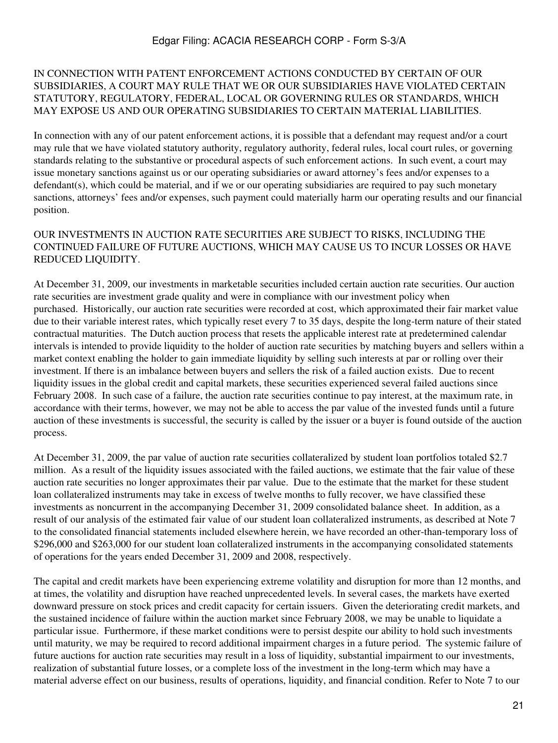#### IN CONNECTION WITH PATENT ENFORCEMENT ACTIONS CONDUCTED BY CERTAIN OF OUR SUBSIDIARIES, A COURT MAY RULE THAT WE OR OUR SUBSIDIARIES HAVE VIOLATED CERTAIN STATUTORY, REGULATORY, FEDERAL, LOCAL OR GOVERNING RULES OR STANDARDS, WHICH MAY EXPOSE US AND OUR OPERATING SUBSIDIARIES TO CERTAIN MATERIAL LIABILITIES.

In connection with any of our patent enforcement actions, it is possible that a defendant may request and/or a court may rule that we have violated statutory authority, regulatory authority, federal rules, local court rules, or governing standards relating to the substantive or procedural aspects of such enforcement actions. In such event, a court may issue monetary sanctions against us or our operating subsidiaries or award attorney's fees and/or expenses to a defendant(s), which could be material, and if we or our operating subsidiaries are required to pay such monetary sanctions, attorneys' fees and/or expenses, such payment could materially harm our operating results and our financial position.

### OUR INVESTMENTS IN AUCTION RATE SECURITIES ARE SUBJECT TO RISKS, INCLUDING THE CONTINUED FAILURE OF FUTURE AUCTIONS, WHICH MAY CAUSE US TO INCUR LOSSES OR HAVE REDUCED LIQUIDITY.

At December 31, 2009, our investments in marketable securities included certain auction rate securities. Our auction rate securities are investment grade quality and were in compliance with our investment policy when purchased. Historically, our auction rate securities were recorded at cost, which approximated their fair market value due to their variable interest rates, which typically reset every 7 to 35 days, despite the long-term nature of their stated contractual maturities. The Dutch auction process that resets the applicable interest rate at predetermined calendar intervals is intended to provide liquidity to the holder of auction rate securities by matching buyers and sellers within a market context enabling the holder to gain immediate liquidity by selling such interests at par or rolling over their investment. If there is an imbalance between buyers and sellers the risk of a failed auction exists. Due to recent liquidity issues in the global credit and capital markets, these securities experienced several failed auctions since February 2008. In such case of a failure, the auction rate securities continue to pay interest, at the maximum rate, in accordance with their terms, however, we may not be able to access the par value of the invested funds until a future auction of these investments is successful, the security is called by the issuer or a buyer is found outside of the auction process.

At December 31, 2009, the par value of auction rate securities collateralized by student loan portfolios totaled \$2.7 million. As a result of the liquidity issues associated with the failed auctions, we estimate that the fair value of these auction rate securities no longer approximates their par value. Due to the estimate that the market for these student loan collateralized instruments may take in excess of twelve months to fully recover, we have classified these investments as noncurrent in the accompanying December 31, 2009 consolidated balance sheet. In addition, as a result of our analysis of the estimated fair value of our student loan collateralized instruments, as described at Note 7 to the consolidated financial statements included elsewhere herein, we have recorded an other-than-temporary loss of \$296,000 and \$263,000 for our student loan collateralized instruments in the accompanying consolidated statements of operations for the years ended December 31, 2009 and 2008, respectively.

The capital and credit markets have been experiencing extreme volatility and disruption for more than 12 months, and at times, the volatility and disruption have reached unprecedented levels. In several cases, the markets have exerted downward pressure on stock prices and credit capacity for certain issuers. Given the deteriorating credit markets, and the sustained incidence of failure within the auction market since February 2008, we may be unable to liquidate a particular issue. Furthermore, if these market conditions were to persist despite our ability to hold such investments until maturity, we may be required to record additional impairment charges in a future period. The systemic failure of future auctions for auction rate securities may result in a loss of liquidity, substantial impairment to our investments, realization of substantial future losses, or a complete loss of the investment in the long-term which may have a material adverse effect on our business, results of operations, liquidity, and financial condition. Refer to Note 7 to our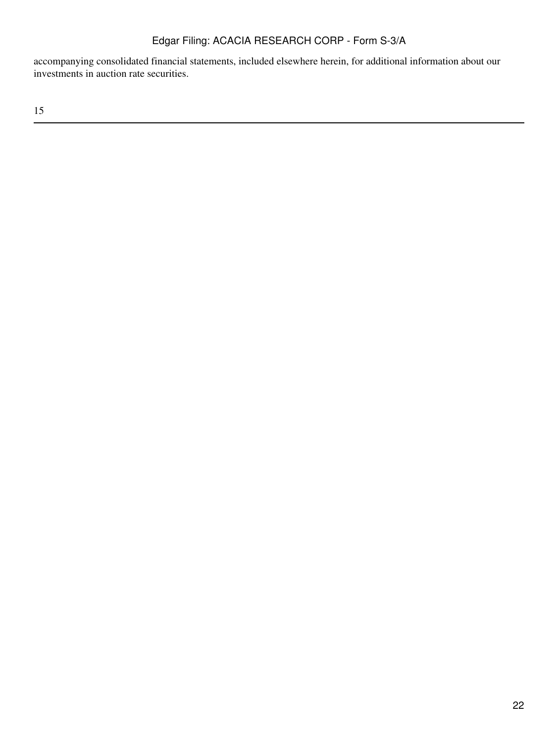accompanying consolidated financial statements, included elsewhere herein, for additional information about our investments in auction rate securities.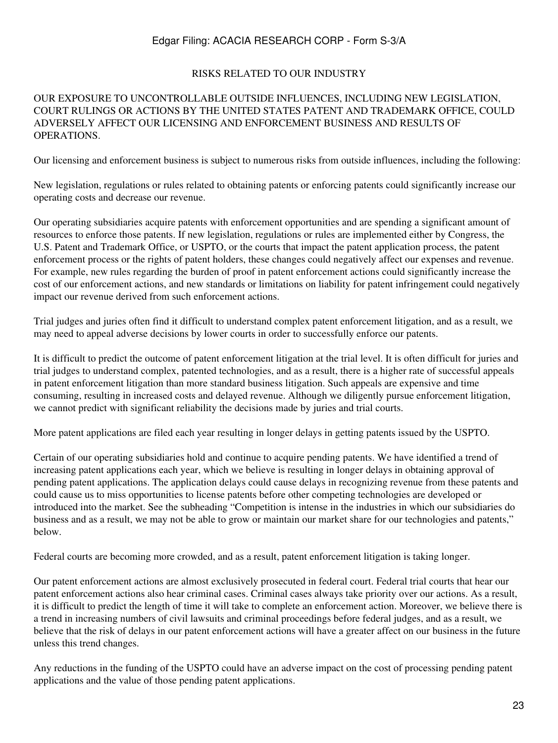#### RISKS RELATED TO OUR INDUSTRY

#### OUR EXPOSURE TO UNCONTROLLABLE OUTSIDE INFLUENCES, INCLUDING NEW LEGISLATION, COURT RULINGS OR ACTIONS BY THE UNITED STATES PATENT AND TRADEMARK OFFICE, COULD ADVERSELY AFFECT OUR LICENSING AND ENFORCEMENT BUSINESS AND RESULTS OF OPERATIONS.

Our licensing and enforcement business is subject to numerous risks from outside influences, including the following:

New legislation, regulations or rules related to obtaining patents or enforcing patents could significantly increase our operating costs and decrease our revenue.

Our operating subsidiaries acquire patents with enforcement opportunities and are spending a significant amount of resources to enforce those patents. If new legislation, regulations or rules are implemented either by Congress, the U.S. Patent and Trademark Office, or USPTO, or the courts that impact the patent application process, the patent enforcement process or the rights of patent holders, these changes could negatively affect our expenses and revenue. For example, new rules regarding the burden of proof in patent enforcement actions could significantly increase the cost of our enforcement actions, and new standards or limitations on liability for patent infringement could negatively impact our revenue derived from such enforcement actions.

Trial judges and juries often find it difficult to understand complex patent enforcement litigation, and as a result, we may need to appeal adverse decisions by lower courts in order to successfully enforce our patents.

It is difficult to predict the outcome of patent enforcement litigation at the trial level. It is often difficult for juries and trial judges to understand complex, patented technologies, and as a result, there is a higher rate of successful appeals in patent enforcement litigation than more standard business litigation. Such appeals are expensive and time consuming, resulting in increased costs and delayed revenue. Although we diligently pursue enforcement litigation, we cannot predict with significant reliability the decisions made by juries and trial courts.

More patent applications are filed each year resulting in longer delays in getting patents issued by the USPTO.

Certain of our operating subsidiaries hold and continue to acquire pending patents. We have identified a trend of increasing patent applications each year, which we believe is resulting in longer delays in obtaining approval of pending patent applications. The application delays could cause delays in recognizing revenue from these patents and could cause us to miss opportunities to license patents before other competing technologies are developed or introduced into the market. See the subheading "Competition is intense in the industries in which our subsidiaries do business and as a result, we may not be able to grow or maintain our market share for our technologies and patents," below.

Federal courts are becoming more crowded, and as a result, patent enforcement litigation is taking longer.

Our patent enforcement actions are almost exclusively prosecuted in federal court. Federal trial courts that hear our patent enforcement actions also hear criminal cases. Criminal cases always take priority over our actions. As a result, it is difficult to predict the length of time it will take to complete an enforcement action. Moreover, we believe there is a trend in increasing numbers of civil lawsuits and criminal proceedings before federal judges, and as a result, we believe that the risk of delays in our patent enforcement actions will have a greater affect on our business in the future unless this trend changes.

Any reductions in the funding of the USPTO could have an adverse impact on the cost of processing pending patent applications and the value of those pending patent applications.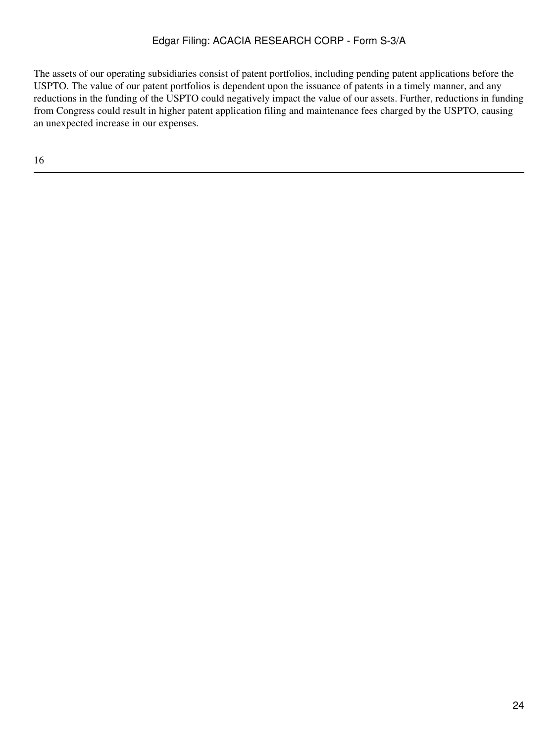The assets of our operating subsidiaries consist of patent portfolios, including pending patent applications before the USPTO. The value of our patent portfolios is dependent upon the issuance of patents in a timely manner, and any reductions in the funding of the USPTO could negatively impact the value of our assets. Further, reductions in funding from Congress could result in higher patent application filing and maintenance fees charged by the USPTO, causing an unexpected increase in our expenses.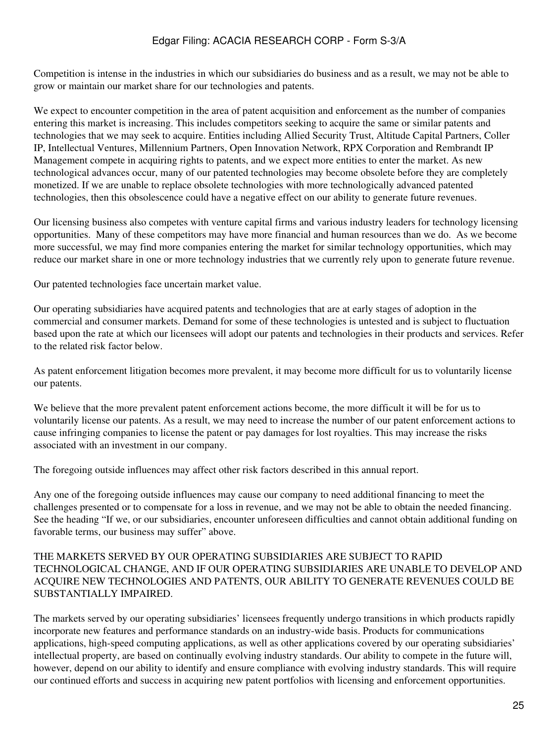Competition is intense in the industries in which our subsidiaries do business and as a result, we may not be able to grow or maintain our market share for our technologies and patents.

We expect to encounter competition in the area of patent acquisition and enforcement as the number of companies entering this market is increasing. This includes competitors seeking to acquire the same or similar patents and technologies that we may seek to acquire. Entities including Allied Security Trust, Altitude Capital Partners, Coller IP, Intellectual Ventures, Millennium Partners, Open Innovation Network, RPX Corporation and Rembrandt IP Management compete in acquiring rights to patents, and we expect more entities to enter the market. As new technological advances occur, many of our patented technologies may become obsolete before they are completely monetized. If we are unable to replace obsolete technologies with more technologically advanced patented technologies, then this obsolescence could have a negative effect on our ability to generate future revenues.

Our licensing business also competes with venture capital firms and various industry leaders for technology licensing opportunities. Many of these competitors may have more financial and human resources than we do. As we become more successful, we may find more companies entering the market for similar technology opportunities, which may reduce our market share in one or more technology industries that we currently rely upon to generate future revenue.

Our patented technologies face uncertain market value.

Our operating subsidiaries have acquired patents and technologies that are at early stages of adoption in the commercial and consumer markets. Demand for some of these technologies is untested and is subject to fluctuation based upon the rate at which our licensees will adopt our patents and technologies in their products and services. Refer to the related risk factor below.

As patent enforcement litigation becomes more prevalent, it may become more difficult for us to voluntarily license our patents.

We believe that the more prevalent patent enforcement actions become, the more difficult it will be for us to voluntarily license our patents. As a result, we may need to increase the number of our patent enforcement actions to cause infringing companies to license the patent or pay damages for lost royalties. This may increase the risks associated with an investment in our company.

The foregoing outside influences may affect other risk factors described in this annual report.

Any one of the foregoing outside influences may cause our company to need additional financing to meet the challenges presented or to compensate for a loss in revenue, and we may not be able to obtain the needed financing. See the heading "If we, or our subsidiaries, encounter unforeseen difficulties and cannot obtain additional funding on favorable terms, our business may suffer" above.

### THE MARKETS SERVED BY OUR OPERATING SUBSIDIARIES ARE SUBJECT TO RAPID TECHNOLOGICAL CHANGE, AND IF OUR OPERATING SUBSIDIARIES ARE UNABLE TO DEVELOP AND ACQUIRE NEW TECHNOLOGIES AND PATENTS, OUR ABILITY TO GENERATE REVENUES COULD BE SUBSTANTIALLY IMPAIRED.

The markets served by our operating subsidiaries' licensees frequently undergo transitions in which products rapidly incorporate new features and performance standards on an industry-wide basis. Products for communications applications, high-speed computing applications, as well as other applications covered by our operating subsidiaries' intellectual property, are based on continually evolving industry standards. Our ability to compete in the future will, however, depend on our ability to identify and ensure compliance with evolving industry standards. This will require our continued efforts and success in acquiring new patent portfolios with licensing and enforcement opportunities.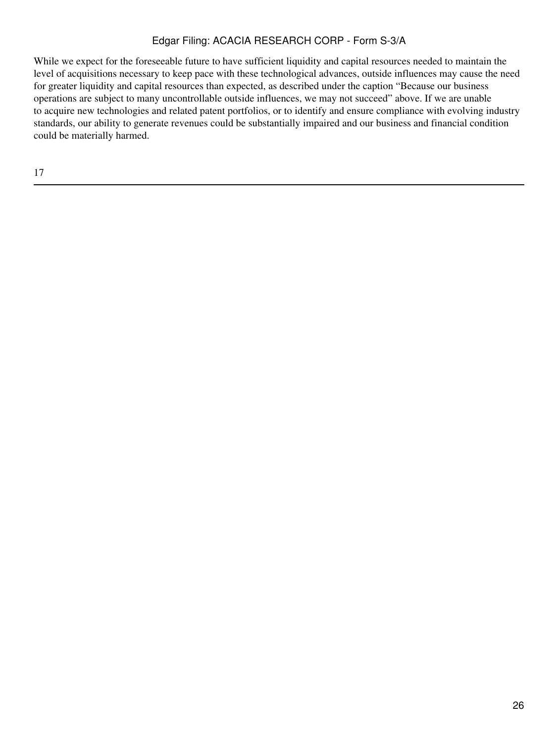While we expect for the foreseeable future to have sufficient liquidity and capital resources needed to maintain the level of acquisitions necessary to keep pace with these technological advances, outside influences may cause the need for greater liquidity and capital resources than expected, as described under the caption "Because our business operations are subject to many uncontrollable outside influences, we may not succeed" above. If we are unable to acquire new technologies and related patent portfolios, or to identify and ensure compliance with evolving industry standards, our ability to generate revenues could be substantially impaired and our business and financial condition could be materially harmed.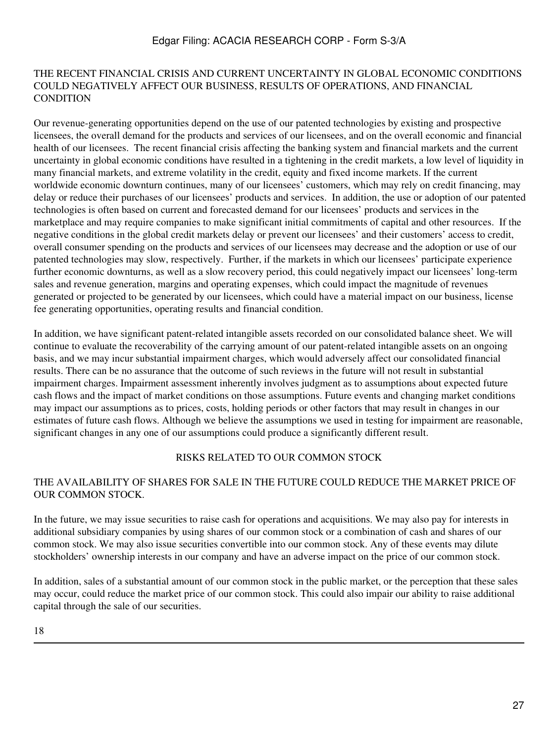#### THE RECENT FINANCIAL CRISIS AND CURRENT UNCERTAINTY IN GLOBAL ECONOMIC CONDITIONS COULD NEGATIVELY AFFECT OUR BUSINESS, RESULTS OF OPERATIONS, AND FINANCIAL **CONDITION**

Our revenue-generating opportunities depend on the use of our patented technologies by existing and prospective licensees, the overall demand for the products and services of our licensees, and on the overall economic and financial health of our licensees. The recent financial crisis affecting the banking system and financial markets and the current uncertainty in global economic conditions have resulted in a tightening in the credit markets, a low level of liquidity in many financial markets, and extreme volatility in the credit, equity and fixed income markets. If the current worldwide economic downturn continues, many of our licensees' customers, which may rely on credit financing, may delay or reduce their purchases of our licensees' products and services. In addition, the use or adoption of our patented technologies is often based on current and forecasted demand for our licensees' products and services in the marketplace and may require companies to make significant initial commitments of capital and other resources. If the negative conditions in the global credit markets delay or prevent our licensees' and their customers' access to credit, overall consumer spending on the products and services of our licensees may decrease and the adoption or use of our patented technologies may slow, respectively. Further, if the markets in which our licensees' participate experience further economic downturns, as well as a slow recovery period, this could negatively impact our licensees' long-term sales and revenue generation, margins and operating expenses, which could impact the magnitude of revenues generated or projected to be generated by our licensees, which could have a material impact on our business, license fee generating opportunities, operating results and financial condition.

In addition, we have significant patent-related intangible assets recorded on our consolidated balance sheet. We will continue to evaluate the recoverability of the carrying amount of our patent-related intangible assets on an ongoing basis, and we may incur substantial impairment charges, which would adversely affect our consolidated financial results. There can be no assurance that the outcome of such reviews in the future will not result in substantial impairment charges. Impairment assessment inherently involves judgment as to assumptions about expected future cash flows and the impact of market conditions on those assumptions. Future events and changing market conditions may impact our assumptions as to prices, costs, holding periods or other factors that may result in changes in our estimates of future cash flows. Although we believe the assumptions we used in testing for impairment are reasonable, significant changes in any one of our assumptions could produce a significantly different result.

### RISKS RELATED TO OUR COMMON STOCK

### THE AVAILABILITY OF SHARES FOR SALE IN THE FUTURE COULD REDUCE THE MARKET PRICE OF OUR COMMON STOCK.

In the future, we may issue securities to raise cash for operations and acquisitions. We may also pay for interests in additional subsidiary companies by using shares of our common stock or a combination of cash and shares of our common stock. We may also issue securities convertible into our common stock. Any of these events may dilute stockholders' ownership interests in our company and have an adverse impact on the price of our common stock.

In addition, sales of a substantial amount of our common stock in the public market, or the perception that these sales may occur, could reduce the market price of our common stock. This could also impair our ability to raise additional capital through the sale of our securities.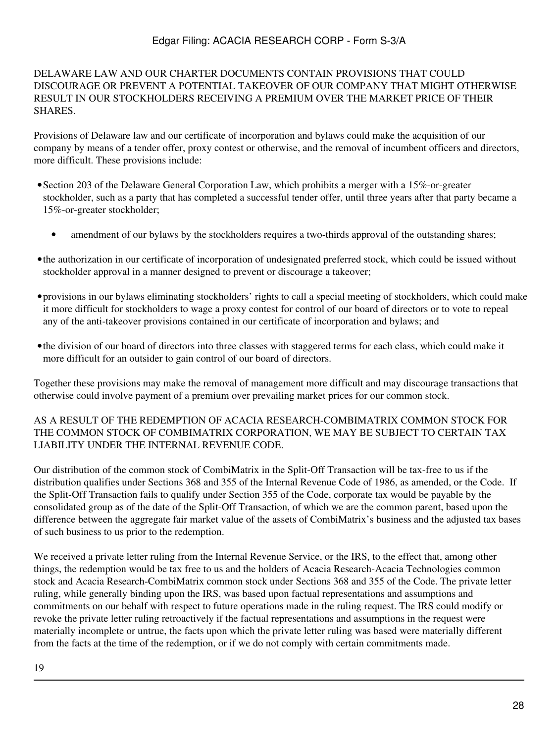### DELAWARE LAW AND OUR CHARTER DOCUMENTS CONTAIN PROVISIONS THAT COULD DISCOURAGE OR PREVENT A POTENTIAL TAKEOVER OF OUR COMPANY THAT MIGHT OTHERWISE RESULT IN OUR STOCKHOLDERS RECEIVING A PREMIUM OVER THE MARKET PRICE OF THEIR **SHARES**

Provisions of Delaware law and our certificate of incorporation and bylaws could make the acquisition of our company by means of a tender offer, proxy contest or otherwise, and the removal of incumbent officers and directors, more difficult. These provisions include:

- •Section 203 of the Delaware General Corporation Law, which prohibits a merger with a 15%-or-greater stockholder, such as a party that has completed a successful tender offer, until three years after that party became a 15%-or-greater stockholder;
	- amendment of our bylaws by the stockholders requires a two-thirds approval of the outstanding shares;
- •the authorization in our certificate of incorporation of undesignated preferred stock, which could be issued without stockholder approval in a manner designed to prevent or discourage a takeover;
- •provisions in our bylaws eliminating stockholders' rights to call a special meeting of stockholders, which could make it more difficult for stockholders to wage a proxy contest for control of our board of directors or to vote to repeal any of the anti-takeover provisions contained in our certificate of incorporation and bylaws; and
- •the division of our board of directors into three classes with staggered terms for each class, which could make it more difficult for an outsider to gain control of our board of directors.

Together these provisions may make the removal of management more difficult and may discourage transactions that otherwise could involve payment of a premium over prevailing market prices for our common stock.

### AS A RESULT OF THE REDEMPTION OF ACACIA RESEARCH-COMBIMATRIX COMMON STOCK FOR THE COMMON STOCK OF COMBIMATRIX CORPORATION, WE MAY BE SUBJECT TO CERTAIN TAX LIABILITY UNDER THE INTERNAL REVENUE CODE.

Our distribution of the common stock of CombiMatrix in the Split-Off Transaction will be tax-free to us if the distribution qualifies under Sections 368 and 355 of the Internal Revenue Code of 1986, as amended, or the Code. If the Split-Off Transaction fails to qualify under Section 355 of the Code, corporate tax would be payable by the consolidated group as of the date of the Split-Off Transaction, of which we are the common parent, based upon the difference between the aggregate fair market value of the assets of CombiMatrix's business and the adjusted tax bases of such business to us prior to the redemption.

We received a private letter ruling from the Internal Revenue Service, or the IRS, to the effect that, among other things, the redemption would be tax free to us and the holders of Acacia Research-Acacia Technologies common stock and Acacia Research-CombiMatrix common stock under Sections 368 and 355 of the Code. The private letter ruling, while generally binding upon the IRS, was based upon factual representations and assumptions and commitments on our behalf with respect to future operations made in the ruling request. The IRS could modify or revoke the private letter ruling retroactively if the factual representations and assumptions in the request were materially incomplete or untrue, the facts upon which the private letter ruling was based were materially different from the facts at the time of the redemption, or if we do not comply with certain commitments made.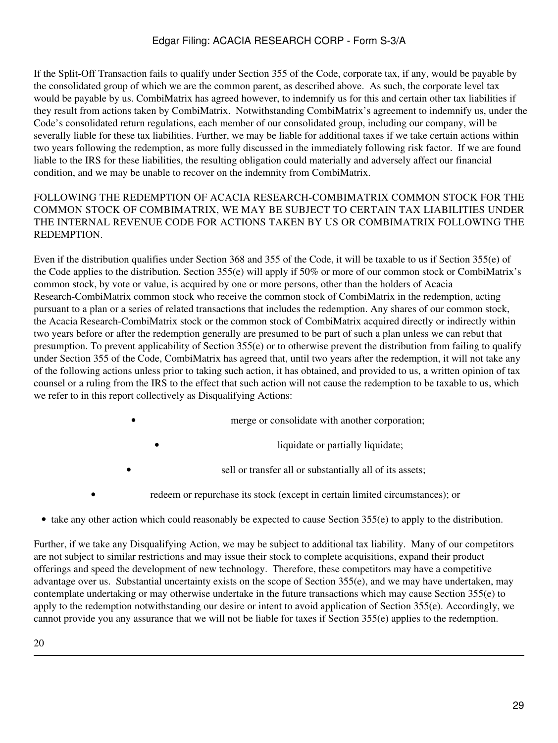If the Split-Off Transaction fails to qualify under Section 355 of the Code, corporate tax, if any, would be payable by the consolidated group of which we are the common parent, as described above. As such, the corporate level tax would be payable by us. CombiMatrix has agreed however, to indemnify us for this and certain other tax liabilities if they result from actions taken by CombiMatrix. Notwithstanding CombiMatrix's agreement to indemnify us, under the Code's consolidated return regulations, each member of our consolidated group, including our company, will be severally liable for these tax liabilities. Further, we may be liable for additional taxes if we take certain actions within two years following the redemption, as more fully discussed in the immediately following risk factor. If we are found liable to the IRS for these liabilities, the resulting obligation could materially and adversely affect our financial condition, and we may be unable to recover on the indemnity from CombiMatrix.

### FOLLOWING THE REDEMPTION OF ACACIA RESEARCH-COMBIMATRIX COMMON STOCK FOR THE COMMON STOCK OF COMBIMATRIX, WE MAY BE SUBJECT TO CERTAIN TAX LIABILITIES UNDER THE INTERNAL REVENUE CODE FOR ACTIONS TAKEN BY US OR COMBIMATRIX FOLLOWING THE **REDEMPTION**

Even if the distribution qualifies under Section 368 and 355 of the Code, it will be taxable to us if Section 355(e) of the Code applies to the distribution. Section 355(e) will apply if 50% or more of our common stock or CombiMatrix's common stock, by vote or value, is acquired by one or more persons, other than the holders of Acacia Research-CombiMatrix common stock who receive the common stock of CombiMatrix in the redemption, acting pursuant to a plan or a series of related transactions that includes the redemption. Any shares of our common stock, the Acacia Research-CombiMatrix stock or the common stock of CombiMatrix acquired directly or indirectly within two years before or after the redemption generally are presumed to be part of such a plan unless we can rebut that presumption. To prevent applicability of Section 355(e) or to otherwise prevent the distribution from failing to qualify under Section 355 of the Code, CombiMatrix has agreed that, until two years after the redemption, it will not take any of the following actions unless prior to taking such action, it has obtained, and provided to us, a written opinion of tax counsel or a ruling from the IRS to the effect that such action will not cause the redemption to be taxable to us, which we refer to in this report collectively as Disqualifying Actions:

merge or consolidate with another corporation;

liquidate or partially liquidate;

sell or transfer all or substantially all of its assets;

- redeem or repurchase its stock (except in certain limited circumstances); or
- take any other action which could reasonably be expected to cause Section 355(e) to apply to the distribution.

Further, if we take any Disqualifying Action, we may be subject to additional tax liability. Many of our competitors are not subject to similar restrictions and may issue their stock to complete acquisitions, expand their product offerings and speed the development of new technology. Therefore, these competitors may have a competitive advantage over us. Substantial uncertainty exists on the scope of Section 355(e), and we may have undertaken, may contemplate undertaking or may otherwise undertake in the future transactions which may cause Section 355(e) to apply to the redemption notwithstanding our desire or intent to avoid application of Section 355(e). Accordingly, we cannot provide you any assurance that we will not be liable for taxes if Section 355(e) applies to the redemption.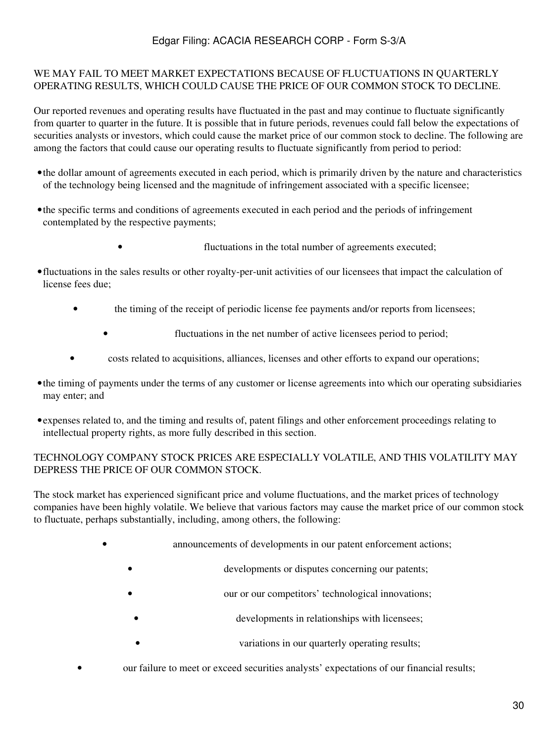### WE MAY FAIL TO MEET MARKET EXPECTATIONS BECAUSE OF FLUCTUATIONS IN QUARTERLY OPERATING RESULTS, WHICH COULD CAUSE THE PRICE OF OUR COMMON STOCK TO DECLINE.

Our reported revenues and operating results have fluctuated in the past and may continue to fluctuate significantly from quarter to quarter in the future. It is possible that in future periods, revenues could fall below the expectations of securities analysts or investors, which could cause the market price of our common stock to decline. The following are among the factors that could cause our operating results to fluctuate significantly from period to period:

- •the dollar amount of agreements executed in each period, which is primarily driven by the nature and characteristics of the technology being licensed and the magnitude of infringement associated with a specific licensee;
- •the specific terms and conditions of agreements executed in each period and the periods of infringement contemplated by the respective payments;
	- fluctuations in the total number of agreements executed;
- •fluctuations in the sales results or other royalty-per-unit activities of our licensees that impact the calculation of license fees due;
	- the timing of the receipt of periodic license fee payments and/or reports from licensees;
		- fluctuations in the net number of active licensees period to period;
	- costs related to acquisitions, alliances, licenses and other efforts to expand our operations;
- •the timing of payments under the terms of any customer or license agreements into which our operating subsidiaries may enter; and
- •expenses related to, and the timing and results of, patent filings and other enforcement proceedings relating to intellectual property rights, as more fully described in this section.

### TECHNOLOGY COMPANY STOCK PRICES ARE ESPECIALLY VOLATILE, AND THIS VOLATILITY MAY DEPRESS THE PRICE OF OUR COMMON STOCK.

The stock market has experienced significant price and volume fluctuations, and the market prices of technology companies have been highly volatile. We believe that various factors may cause the market price of our common stock to fluctuate, perhaps substantially, including, among others, the following:

- announcements of developments in our patent enforcement actions;
	- developments or disputes concerning our patents;
	- our or our competitors' technological innovations;
	- developments in relationships with licensees;
	- variations in our quarterly operating results;
- our failure to meet or exceed securities analysts' expectations of our financial results;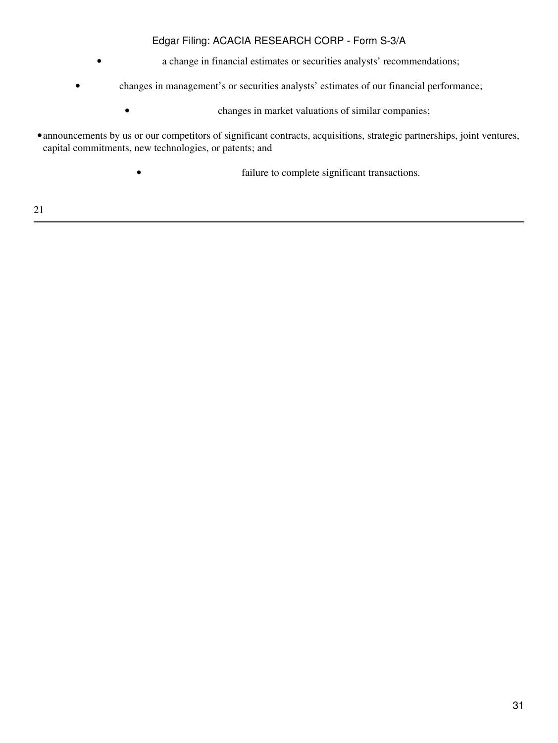- a change in financial estimates or securities analysts' recommendations;
- changes in management's or securities analysts' estimates of our financial performance;
	- changes in market valuations of similar companies;
- •announcements by us or our competitors of significant contracts, acquisitions, strategic partnerships, joint ventures, capital commitments, new technologies, or patents; and
	- **failure to complete significant transactions.**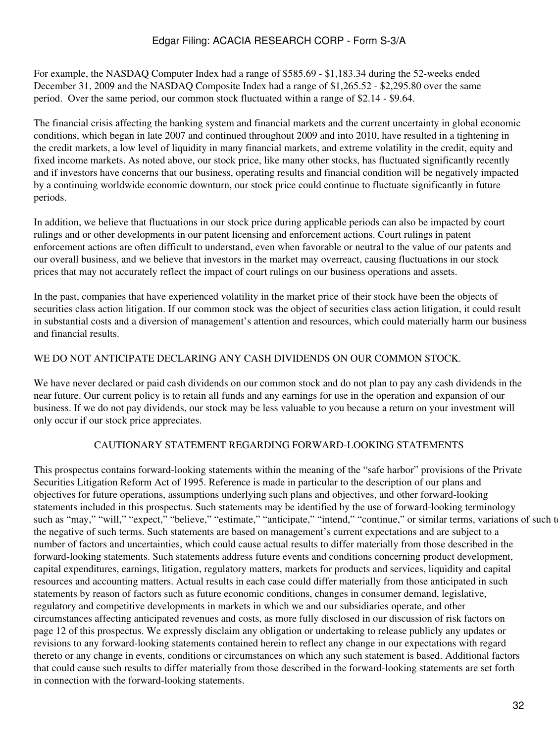For example, the NASDAQ Computer Index had a range of \$585.69 - \$1,183.34 during the 52-weeks ended December 31, 2009 and the NASDAQ Composite Index had a range of \$1,265.52 - \$2,295.80 over the same period. Over the same period, our common stock fluctuated within a range of \$2.14 - \$9.64.

The financial crisis affecting the banking system and financial markets and the current uncertainty in global economic conditions, which began in late 2007 and continued throughout 2009 and into 2010, have resulted in a tightening in the credit markets, a low level of liquidity in many financial markets, and extreme volatility in the credit, equity and fixed income markets. As noted above, our stock price, like many other stocks, has fluctuated significantly recently and if investors have concerns that our business, operating results and financial condition will be negatively impacted by a continuing worldwide economic downturn, our stock price could continue to fluctuate significantly in future periods.

In addition, we believe that fluctuations in our stock price during applicable periods can also be impacted by court rulings and or other developments in our patent licensing and enforcement actions. Court rulings in patent enforcement actions are often difficult to understand, even when favorable or neutral to the value of our patents and our overall business, and we believe that investors in the market may overreact, causing fluctuations in our stock prices that may not accurately reflect the impact of court rulings on our business operations and assets.

In the past, companies that have experienced volatility in the market price of their stock have been the objects of securities class action litigation. If our common stock was the object of securities class action litigation, it could result in substantial costs and a diversion of management's attention and resources, which could materially harm our business and financial results.

# WE DO NOT ANTICIPATE DECLARING ANY CASH DIVIDENDS ON OUR COMMON STOCK.

We have never declared or paid cash dividends on our common stock and do not plan to pay any cash dividends in the near future. Our current policy is to retain all funds and any earnings for use in the operation and expansion of our business. If we do not pay dividends, our stock may be less valuable to you because a return on your investment will only occur if our stock price appreciates.

### CAUTIONARY STATEMENT REGARDING FORWARD-LOOKING STATEMENTS

This prospectus contains forward-looking statements within the meaning of the "safe harbor" provisions of the Private Securities Litigation Reform Act of 1995. Reference is made in particular to the description of our plans and objectives for future operations, assumptions underlying such plans and objectives, and other forward-looking statements included in this prospectus. Such statements may be identified by the use of forward-looking terminology such as "may," "will," "expect," "believe," "estimate," "anticipate," "intend," "continue," or similar terms, variations of such to the negative of such terms. Such statements are based on management's current expectations and are subject to a number of factors and uncertainties, which could cause actual results to differ materially from those described in the forward-looking statements. Such statements address future events and conditions concerning product development, capital expenditures, earnings, litigation, regulatory matters, markets for products and services, liquidity and capital resources and accounting matters. Actual results in each case could differ materially from those anticipated in such statements by reason of factors such as future economic conditions, changes in consumer demand, legislative, regulatory and competitive developments in markets in which we and our subsidiaries operate, and other circumstances affecting anticipated revenues and costs, as more fully disclosed in our discussion of risk factors on page 12 of this prospectus. We expressly disclaim any obligation or undertaking to release publicly any updates or revisions to any forward-looking statements contained herein to reflect any change in our expectations with regard thereto or any change in events, conditions or circumstances on which any such statement is based. Additional factors that could cause such results to differ materially from those described in the forward-looking statements are set forth in connection with the forward-looking statements.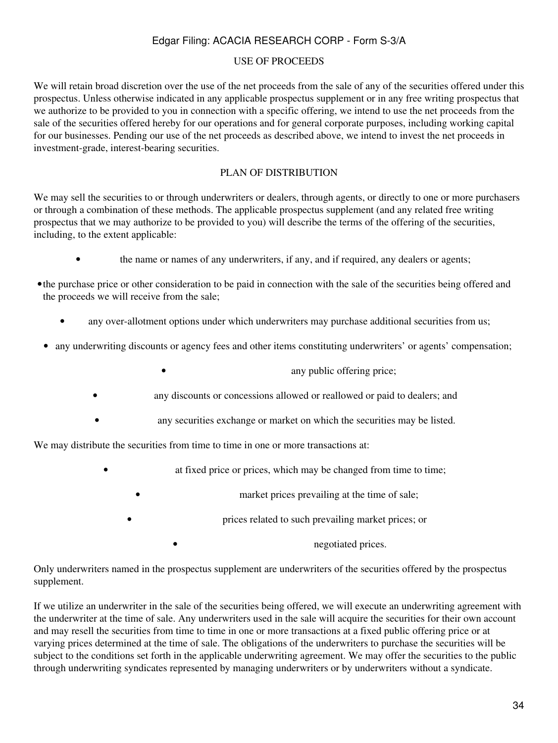#### USE OF PROCEEDS

We will retain broad discretion over the use of the net proceeds from the sale of any of the securities offered under this prospectus. Unless otherwise indicated in any applicable prospectus supplement or in any free writing prospectus that we authorize to be provided to you in connection with a specific offering, we intend to use the net proceeds from the sale of the securities offered hereby for our operations and for general corporate purposes, including working capital for our businesses. Pending our use of the net proceeds as described above, we intend to invest the net proceeds in investment-grade, interest-bearing securities.

### PLAN OF DISTRIBUTION

We may sell the securities to or through underwriters or dealers, through agents, or directly to one or more purchasers or through a combination of these methods. The applicable prospectus supplement (and any related free writing prospectus that we may authorize to be provided to you) will describe the terms of the offering of the securities, including, to the extent applicable:

- the name or names of any underwriters, if any, and if required, any dealers or agents;
- •the purchase price or other consideration to be paid in connection with the sale of the securities being offered and the proceeds we will receive from the sale;
	- any over-allotment options under which underwriters may purchase additional securities from us;
- any underwriting discounts or agency fees and other items constituting underwriters' or agents' compensation;
	- any public offering price;
	- any discounts or concessions allowed or reallowed or paid to dealers; and
	- any securities exchange or market on which the securities may be listed.

We may distribute the securities from time to time in one or more transactions at:

- at fixed price or prices, which may be changed from time to time;
	- market prices prevailing at the time of sale;
		- prices related to such prevailing market prices; or

• negotiated prices.

Only underwriters named in the prospectus supplement are underwriters of the securities offered by the prospectus supplement.

If we utilize an underwriter in the sale of the securities being offered, we will execute an underwriting agreement with the underwriter at the time of sale. Any underwriters used in the sale will acquire the securities for their own account and may resell the securities from time to time in one or more transactions at a fixed public offering price or at varying prices determined at the time of sale. The obligations of the underwriters to purchase the securities will be subject to the conditions set forth in the applicable underwriting agreement. We may offer the securities to the public through underwriting syndicates represented by managing underwriters or by underwriters without a syndicate.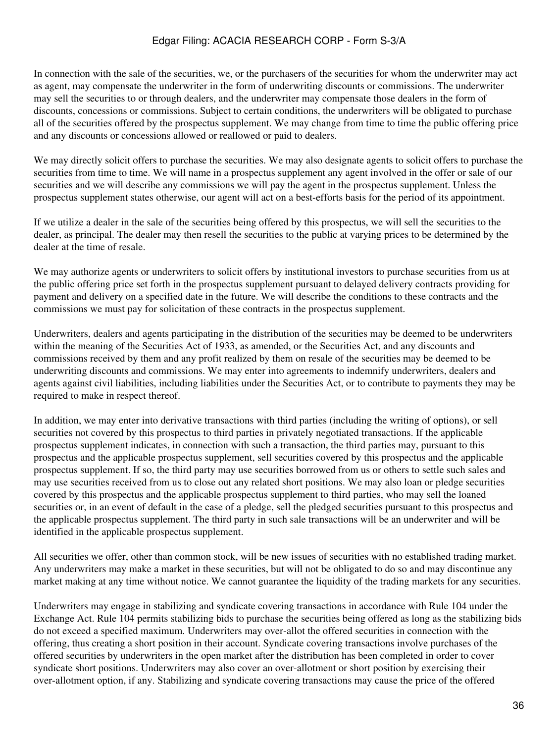In connection with the sale of the securities, we, or the purchasers of the securities for whom the underwriter may act as agent, may compensate the underwriter in the form of underwriting discounts or commissions. The underwriter may sell the securities to or through dealers, and the underwriter may compensate those dealers in the form of discounts, concessions or commissions. Subject to certain conditions, the underwriters will be obligated to purchase all of the securities offered by the prospectus supplement. We may change from time to time the public offering price and any discounts or concessions allowed or reallowed or paid to dealers.

We may directly solicit offers to purchase the securities. We may also designate agents to solicit offers to purchase the securities from time to time. We will name in a prospectus supplement any agent involved in the offer or sale of our securities and we will describe any commissions we will pay the agent in the prospectus supplement. Unless the prospectus supplement states otherwise, our agent will act on a best-efforts basis for the period of its appointment.

If we utilize a dealer in the sale of the securities being offered by this prospectus, we will sell the securities to the dealer, as principal. The dealer may then resell the securities to the public at varying prices to be determined by the dealer at the time of resale.

We may authorize agents or underwriters to solicit offers by institutional investors to purchase securities from us at the public offering price set forth in the prospectus supplement pursuant to delayed delivery contracts providing for payment and delivery on a specified date in the future. We will describe the conditions to these contracts and the commissions we must pay for solicitation of these contracts in the prospectus supplement.

Underwriters, dealers and agents participating in the distribution of the securities may be deemed to be underwriters within the meaning of the Securities Act of 1933, as amended, or the Securities Act, and any discounts and commissions received by them and any profit realized by them on resale of the securities may be deemed to be underwriting discounts and commissions. We may enter into agreements to indemnify underwriters, dealers and agents against civil liabilities, including liabilities under the Securities Act, or to contribute to payments they may be required to make in respect thereof.

In addition, we may enter into derivative transactions with third parties (including the writing of options), or sell securities not covered by this prospectus to third parties in privately negotiated transactions. If the applicable prospectus supplement indicates, in connection with such a transaction, the third parties may, pursuant to this prospectus and the applicable prospectus supplement, sell securities covered by this prospectus and the applicable prospectus supplement. If so, the third party may use securities borrowed from us or others to settle such sales and may use securities received from us to close out any related short positions. We may also loan or pledge securities covered by this prospectus and the applicable prospectus supplement to third parties, who may sell the loaned securities or, in an event of default in the case of a pledge, sell the pledged securities pursuant to this prospectus and the applicable prospectus supplement. The third party in such sale transactions will be an underwriter and will be identified in the applicable prospectus supplement.

All securities we offer, other than common stock, will be new issues of securities with no established trading market. Any underwriters may make a market in these securities, but will not be obligated to do so and may discontinue any market making at any time without notice. We cannot guarantee the liquidity of the trading markets for any securities.

Underwriters may engage in stabilizing and syndicate covering transactions in accordance with Rule 104 under the Exchange Act. Rule 104 permits stabilizing bids to purchase the securities being offered as long as the stabilizing bids do not exceed a specified maximum. Underwriters may over-allot the offered securities in connection with the offering, thus creating a short position in their account. Syndicate covering transactions involve purchases of the offered securities by underwriters in the open market after the distribution has been completed in order to cover syndicate short positions. Underwriters may also cover an over-allotment or short position by exercising their over-allotment option, if any. Stabilizing and syndicate covering transactions may cause the price of the offered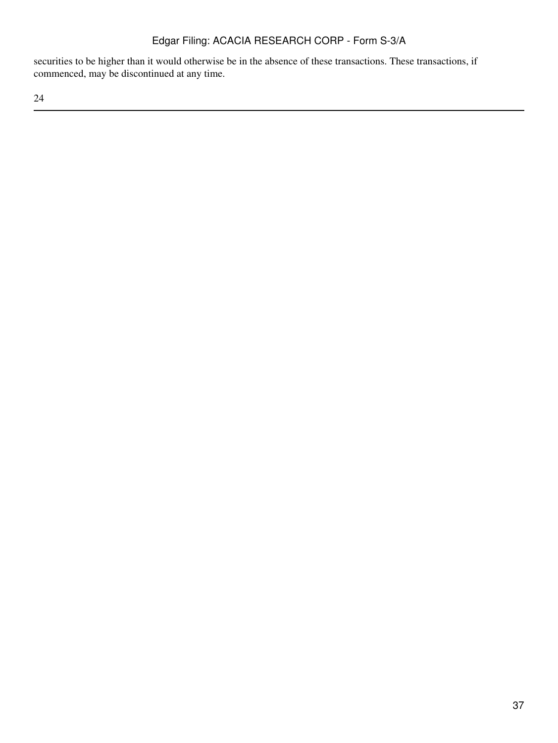securities to be higher than it would otherwise be in the absence of these transactions. These transactions, if commenced, may be discontinued at any time.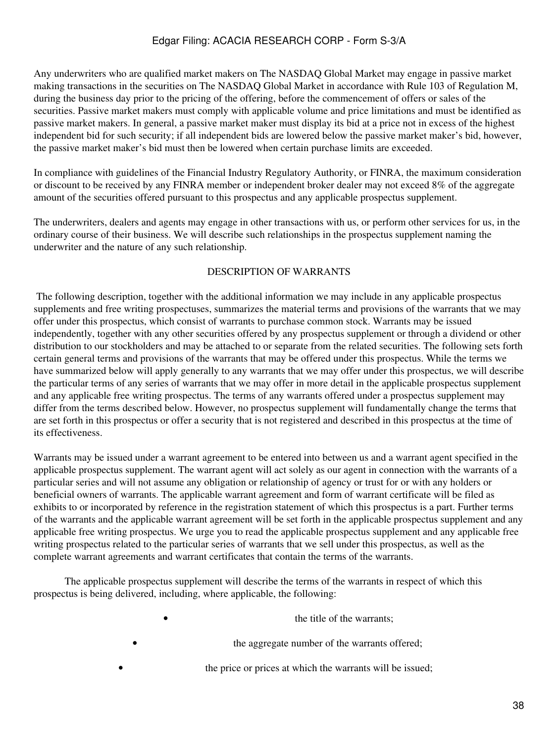Any underwriters who are qualified market makers on The NASDAQ Global Market may engage in passive market making transactions in the securities on The NASDAQ Global Market in accordance with Rule 103 of Regulation M, during the business day prior to the pricing of the offering, before the commencement of offers or sales of the securities. Passive market makers must comply with applicable volume and price limitations and must be identified as passive market makers. In general, a passive market maker must display its bid at a price not in excess of the highest independent bid for such security; if all independent bids are lowered below the passive market maker's bid, however, the passive market maker's bid must then be lowered when certain purchase limits are exceeded.

In compliance with guidelines of the Financial Industry Regulatory Authority, or FINRA, the maximum consideration or discount to be received by any FINRA member or independent broker dealer may not exceed 8% of the aggregate amount of the securities offered pursuant to this prospectus and any applicable prospectus supplement.

The underwriters, dealers and agents may engage in other transactions with us, or perform other services for us, in the ordinary course of their business. We will describe such relationships in the prospectus supplement naming the underwriter and the nature of any such relationship.

### DESCRIPTION OF WARRANTS

 The following description, together with the additional information we may include in any applicable prospectus supplements and free writing prospectuses, summarizes the material terms and provisions of the warrants that we may offer under this prospectus, which consist of warrants to purchase common stock. Warrants may be issued independently, together with any other securities offered by any prospectus supplement or through a dividend or other distribution to our stockholders and may be attached to or separate from the related securities. The following sets forth certain general terms and provisions of the warrants that may be offered under this prospectus. While the terms we have summarized below will apply generally to any warrants that we may offer under this prospectus, we will describe the particular terms of any series of warrants that we may offer in more detail in the applicable prospectus supplement and any applicable free writing prospectus. The terms of any warrants offered under a prospectus supplement may differ from the terms described below. However, no prospectus supplement will fundamentally change the terms that are set forth in this prospectus or offer a security that is not registered and described in this prospectus at the time of its effectiveness.

Warrants may be issued under a warrant agreement to be entered into between us and a warrant agent specified in the applicable prospectus supplement. The warrant agent will act solely as our agent in connection with the warrants of a particular series and will not assume any obligation or relationship of agency or trust for or with any holders or beneficial owners of warrants. The applicable warrant agreement and form of warrant certificate will be filed as exhibits to or incorporated by reference in the registration statement of which this prospectus is a part. Further terms of the warrants and the applicable warrant agreement will be set forth in the applicable prospectus supplement and any applicable free writing prospectus. We urge you to read the applicable prospectus supplement and any applicable free writing prospectus related to the particular series of warrants that we sell under this prospectus, as well as the complete warrant agreements and warrant certificates that contain the terms of the warrants.

 The applicable prospectus supplement will describe the terms of the warrants in respect of which this prospectus is being delivered, including, where applicable, the following:

| the title of the warrants;                                |
|-----------------------------------------------------------|
| the aggregate number of the warrants offered;             |
| the price or prices at which the warrants will be issued; |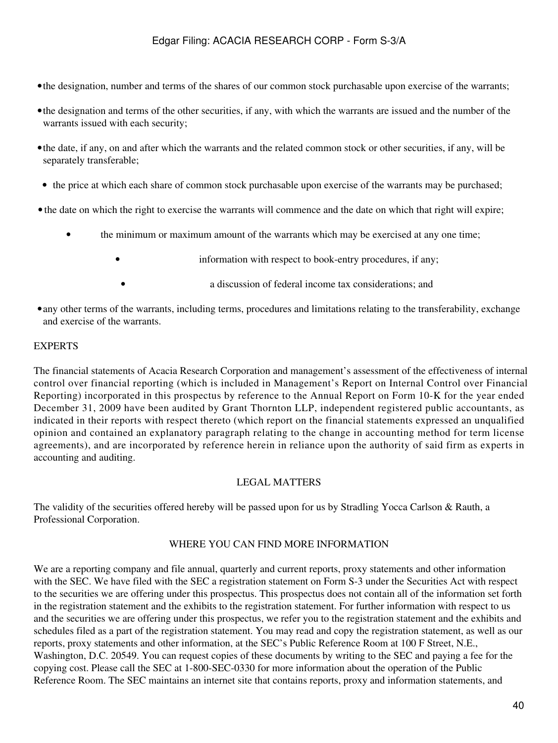- •the designation, number and terms of the shares of our common stock purchasable upon exercise of the warrants;
- •the designation and terms of the other securities, if any, with which the warrants are issued and the number of the warrants issued with each security;
- •the date, if any, on and after which the warrants and the related common stock or other securities, if any, will be separately transferable;
- the price at which each share of common stock purchasable upon exercise of the warrants may be purchased;
- the date on which the right to exercise the warrants will commence and the date on which that right will expire;
	- the minimum or maximum amount of the warrants which may be exercised at any one time;
		- information with respect to book-entry procedures, if any;
		- a discussion of federal income tax considerations; and
- •any other terms of the warrants, including terms, procedures and limitations relating to the transferability, exchange and exercise of the warrants.

### EXPERTS

The financial statements of Acacia Research Corporation and management's assessment of the effectiveness of internal control over financial reporting (which is included in Management's Report on Internal Control over Financial Reporting) incorporated in this prospectus by reference to the Annual Report on Form 10-K for the year ended December 31, 2009 have been audited by Grant Thornton LLP, independent registered public accountants, as indicated in their reports with respect thereto (which report on the financial statements expressed an unqualified opinion and contained an explanatory paragraph relating to the change in accounting method for term license agreements), and are incorporated by reference herein in reliance upon the authority of said firm as experts in accounting and auditing.

### LEGAL MATTERS

The validity of the securities offered hereby will be passed upon for us by Stradling Yocca Carlson & Rauth, a Professional Corporation.

#### WHERE YOU CAN FIND MORE INFORMATION

We are a reporting company and file annual, quarterly and current reports, proxy statements and other information with the SEC. We have filed with the SEC a registration statement on Form S-3 under the Securities Act with respect to the securities we are offering under this prospectus. This prospectus does not contain all of the information set forth in the registration statement and the exhibits to the registration statement. For further information with respect to us and the securities we are offering under this prospectus, we refer you to the registration statement and the exhibits and schedules filed as a part of the registration statement. You may read and copy the registration statement, as well as our reports, proxy statements and other information, at the SEC's Public Reference Room at 100 F Street, N.E., Washington, D.C. 20549. You can request copies of these documents by writing to the SEC and paying a fee for the copying cost. Please call the SEC at 1-800-SEC-0330 for more information about the operation of the Public Reference Room. The SEC maintains an internet site that contains reports, proxy and information statements, and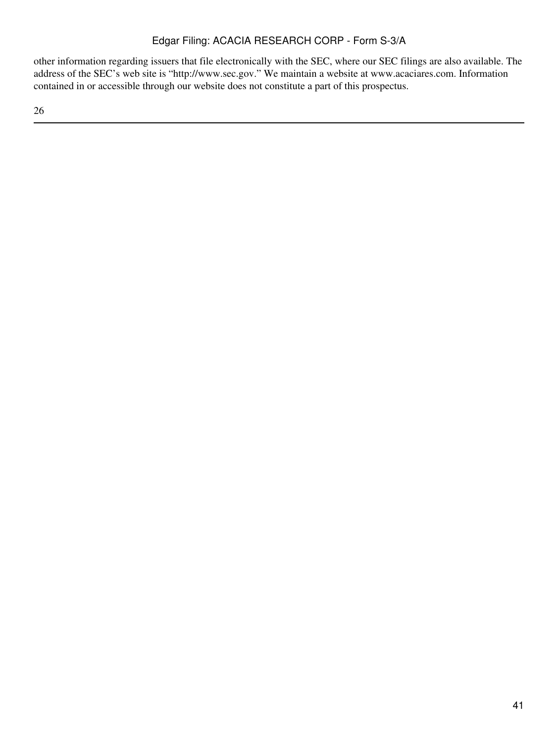other information regarding issuers that file electronically with the SEC, where our SEC filings are also available. The address of the SEC's web site is "http://www.sec.gov." We maintain a website at www.acaciares.com. Information contained in or accessible through our website does not constitute a part of this prospectus.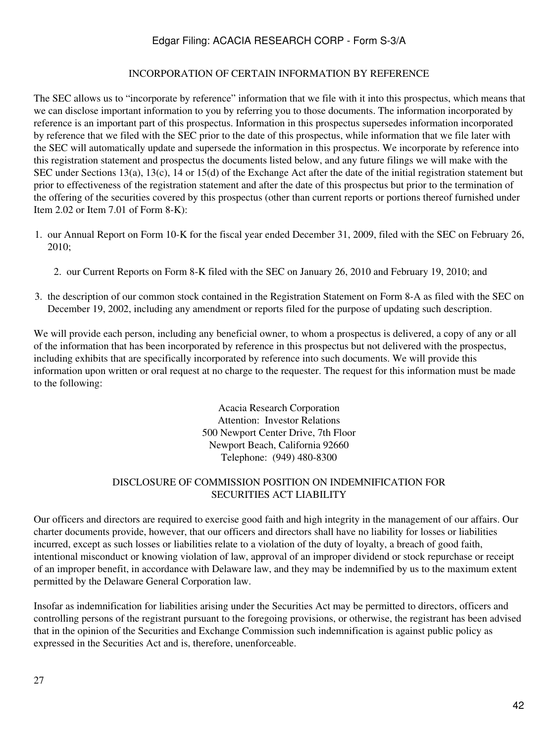#### INCORPORATION OF CERTAIN INFORMATION BY REFERENCE

The SEC allows us to "incorporate by reference" information that we file with it into this prospectus, which means that we can disclose important information to you by referring you to those documents. The information incorporated by reference is an important part of this prospectus. Information in this prospectus supersedes information incorporated by reference that we filed with the SEC prior to the date of this prospectus, while information that we file later with the SEC will automatically update and supersede the information in this prospectus. We incorporate by reference into this registration statement and prospectus the documents listed below, and any future filings we will make with the SEC under Sections 13(a), 13(c), 14 or 15(d) of the Exchange Act after the date of the initial registration statement but prior to effectiveness of the registration statement and after the date of this prospectus but prior to the termination of the offering of the securities covered by this prospectus (other than current reports or portions thereof furnished under Item 2.02 or Item 7.01 of Form 8-K):

- 1. our Annual Report on Form 10-K for the fiscal year ended December 31, 2009, filed with the SEC on February 26, 2010;
	- 2. our Current Reports on Form 8-K filed with the SEC on January 26, 2010 and February 19, 2010; and
- 3. the description of our common stock contained in the Registration Statement on Form 8-A as filed with the SEC on December 19, 2002, including any amendment or reports filed for the purpose of updating such description.

We will provide each person, including any beneficial owner, to whom a prospectus is delivered, a copy of any or all of the information that has been incorporated by reference in this prospectus but not delivered with the prospectus, including exhibits that are specifically incorporated by reference into such documents. We will provide this information upon written or oral request at no charge to the requester. The request for this information must be made to the following:

> Acacia Research Corporation Attention: Investor Relations 500 Newport Center Drive, 7th Floor Newport Beach, California 92660 Telephone: (949) 480-8300

### DISCLOSURE OF COMMISSION POSITION ON INDEMNIFICATION FOR SECURITIES ACT LIABILITY

Our officers and directors are required to exercise good faith and high integrity in the management of our affairs. Our charter documents provide, however, that our officers and directors shall have no liability for losses or liabilities incurred, except as such losses or liabilities relate to a violation of the duty of loyalty, a breach of good faith, intentional misconduct or knowing violation of law, approval of an improper dividend or stock repurchase or receipt of an improper benefit, in accordance with Delaware law, and they may be indemnified by us to the maximum extent permitted by the Delaware General Corporation law.

Insofar as indemnification for liabilities arising under the Securities Act may be permitted to directors, officers and controlling persons of the registrant pursuant to the foregoing provisions, or otherwise, the registrant has been advised that in the opinion of the Securities and Exchange Commission such indemnification is against public policy as expressed in the Securities Act and is, therefore, unenforceable.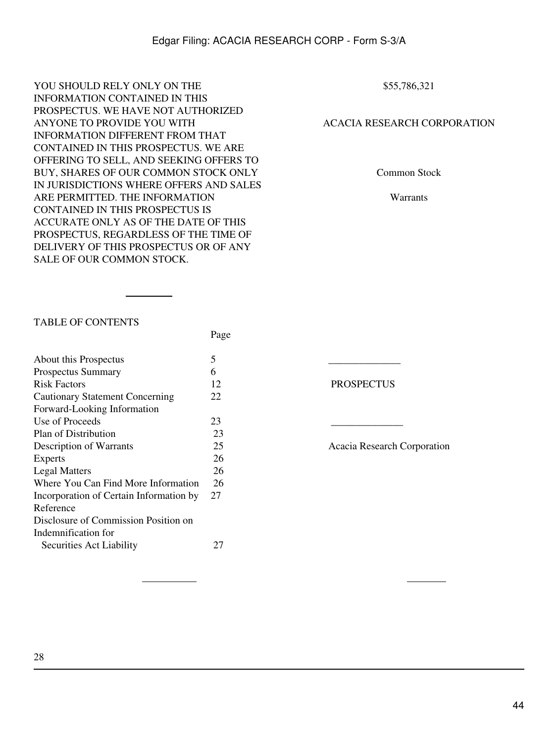YOU SHOULD RELY ONLY ON THE INFORMATION CONTAINED IN THIS PROSPECTUS. WE HAVE NOT AUTHORIZED ANYONE TO PROVIDE YOU WITH INFORMATION DIFFERENT FROM THAT CONTAINED IN THIS PROSPECTUS. WE ARE OFFERING TO SELL, AND SEEKING OFFERS TO BUY, SHARES OF OUR COMMON STOCK ONLY IN JURISDICTIONS WHERE OFFERS AND SALES ARE PERMITTED. THE INFORMATION CONTAINED IN THIS PROSPECTUS IS ACCURATE ONLY AS OF THE DATE OF THIS PROSPECTUS, REGARDLESS OF THE TIME OF DELIVERY OF THIS PROSPECTUS OR OF ANY SALE OF OUR COMMON STOCK.

Page

\$55,786,321

### ACACIA RESEARCH CORPORATION

Common Stock

Warrants

#### TABLE OF CONTENTS

| About this Prospectus                   | 5  |                   |
|-----------------------------------------|----|-------------------|
| <b>Prospectus Summary</b>               | 6  |                   |
| <b>Risk Factors</b>                     | 12 | <b>PROSPECTUS</b> |
| <b>Cautionary Statement Concerning</b>  | 22 |                   |
| Forward-Looking Information             |    |                   |
| Use of Proceeds                         | 23 |                   |
| Plan of Distribution                    | 23 |                   |
| Description of Warrants                 | 25 | Acacia Research C |
| Experts                                 | 26 |                   |
| <b>Legal Matters</b>                    | 26 |                   |
| Where You Can Find More Information     | 26 |                   |
| Incorporation of Certain Information by | 27 |                   |
| Reference                               |    |                   |
| Disclosure of Commission Position on    |    |                   |
| Indemnification for                     |    |                   |
| Securities Act Liability                | 27 |                   |
|                                         |    |                   |

Acacia Research Corporation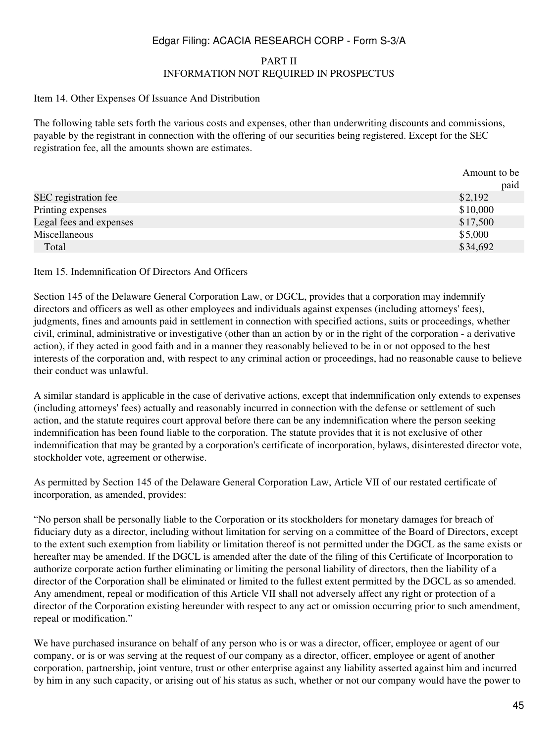#### PART II INFORMATION NOT REQUIRED IN PROSPECTUS

#### Item 14. Other Expenses Of Issuance And Distribution

The following table sets forth the various costs and expenses, other than underwriting discounts and commissions, payable by the registrant in connection with the offering of our securities being registered. Except for the SEC registration fee, all the amounts shown are estimates.

|                         | Amount to be |
|-------------------------|--------------|
|                         | paid         |
| SEC registration fee    | \$2,192      |
| Printing expenses       | \$10,000     |
| Legal fees and expenses | \$17,500     |
| Miscellaneous           | \$5,000      |
| Total                   | \$34,692     |

#### Item 15. Indemnification Of Directors And Officers

Section 145 of the Delaware General Corporation Law, or DGCL, provides that a corporation may indemnify directors and officers as well as other employees and individuals against expenses (including attorneys' fees), judgments, fines and amounts paid in settlement in connection with specified actions, suits or proceedings, whether civil, criminal, administrative or investigative (other than an action by or in the right of the corporation - a derivative action), if they acted in good faith and in a manner they reasonably believed to be in or not opposed to the best interests of the corporation and, with respect to any criminal action or proceedings, had no reasonable cause to believe their conduct was unlawful.

A similar standard is applicable in the case of derivative actions, except that indemnification only extends to expenses (including attorneys' fees) actually and reasonably incurred in connection with the defense or settlement of such action, and the statute requires court approval before there can be any indemnification where the person seeking indemnification has been found liable to the corporation. The statute provides that it is not exclusive of other indemnification that may be granted by a corporation's certificate of incorporation, bylaws, disinterested director vote, stockholder vote, agreement or otherwise.

As permitted by Section 145 of the Delaware General Corporation Law, Article VII of our restated certificate of incorporation, as amended, provides:

"No person shall be personally liable to the Corporation or its stockholders for monetary damages for breach of fiduciary duty as a director, including without limitation for serving on a committee of the Board of Directors, except to the extent such exemption from liability or limitation thereof is not permitted under the DGCL as the same exists or hereafter may be amended. If the DGCL is amended after the date of the filing of this Certificate of Incorporation to authorize corporate action further eliminating or limiting the personal liability of directors, then the liability of a director of the Corporation shall be eliminated or limited to the fullest extent permitted by the DGCL as so amended. Any amendment, repeal or modification of this Article VII shall not adversely affect any right or protection of a director of the Corporation existing hereunder with respect to any act or omission occurring prior to such amendment, repeal or modification."

We have purchased insurance on behalf of any person who is or was a director, officer, employee or agent of our company, or is or was serving at the request of our company as a director, officer, employee or agent of another corporation, partnership, joint venture, trust or other enterprise against any liability asserted against him and incurred by him in any such capacity, or arising out of his status as such, whether or not our company would have the power to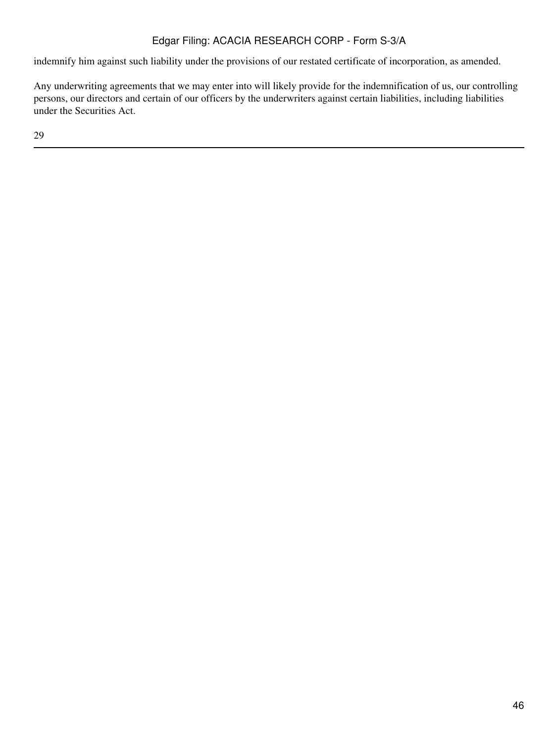indemnify him against such liability under the provisions of our restated certificate of incorporation, as amended.

Any underwriting agreements that we may enter into will likely provide for the indemnification of us, our controlling persons, our directors and certain of our officers by the underwriters against certain liabilities, including liabilities under the Securities Act.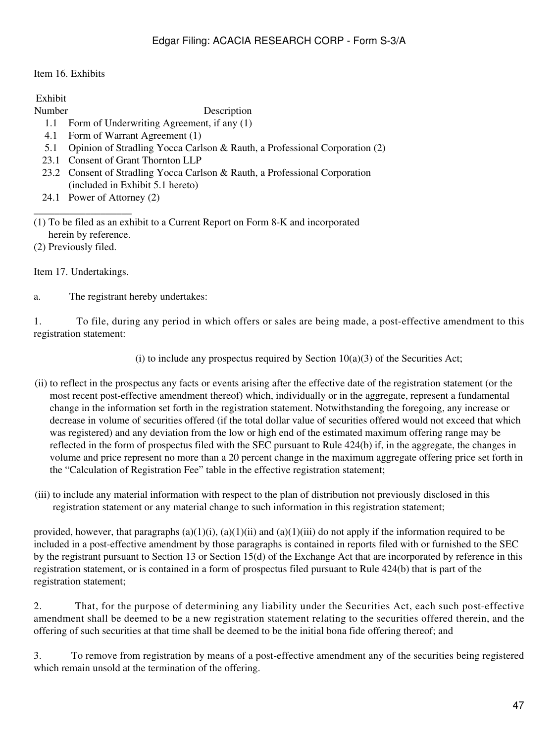### Item 16. Exhibits

Exhibit

Number Description

- 1.1 Form of Underwriting Agreement, if any (1)
- 4.1 Form of Warrant Agreement (1)
- 5.1 Opinion of Stradling Yocca Carlson & Rauth, a Professional Corporation (2)
- 23.1 Consent of Grant Thornton LLP
- 23.2 Consent of Stradling Yocca Carlson & Rauth, a Professional Corporation (included in Exhibit 5.1 hereto)
- 24.1 Power of Attorney (2)

(1) To be filed as an exhibit to a Current Report on Form 8-K and incorporated herein by reference.

(2) Previously filed.

Item 17. Undertakings.

\_\_\_\_\_\_\_\_\_\_\_\_\_\_\_\_\_\_\_

a. The registrant hereby undertakes:

1. To file, during any period in which offers or sales are being made, a post-effective amendment to this registration statement:

(i) to include any prospectus required by Section  $10(a)(3)$  of the Securities Act;

- (ii) to reflect in the prospectus any facts or events arising after the effective date of the registration statement (or the most recent post-effective amendment thereof) which, individually or in the aggregate, represent a fundamental change in the information set forth in the registration statement. Notwithstanding the foregoing, any increase or decrease in volume of securities offered (if the total dollar value of securities offered would not exceed that which was registered) and any deviation from the low or high end of the estimated maximum offering range may be reflected in the form of prospectus filed with the SEC pursuant to Rule 424(b) if, in the aggregate, the changes in volume and price represent no more than a 20 percent change in the maximum aggregate offering price set forth in the "Calculation of Registration Fee" table in the effective registration statement;
- (iii) to include any material information with respect to the plan of distribution not previously disclosed in this registration statement or any material change to such information in this registration statement;

provided, however, that paragraphs  $(a)(1)(i)$ ,  $(a)(1)(ii)$  and  $(a)(1)(iii)$  do not apply if the information required to be included in a post-effective amendment by those paragraphs is contained in reports filed with or furnished to the SEC by the registrant pursuant to Section 13 or Section 15(d) of the Exchange Act that are incorporated by reference in this registration statement, or is contained in a form of prospectus filed pursuant to Rule 424(b) that is part of the registration statement;

2. That, for the purpose of determining any liability under the Securities Act, each such post-effective amendment shall be deemed to be a new registration statement relating to the securities offered therein, and the offering of such securities at that time shall be deemed to be the initial bona fide offering thereof; and

3. To remove from registration by means of a post-effective amendment any of the securities being registered which remain unsold at the termination of the offering.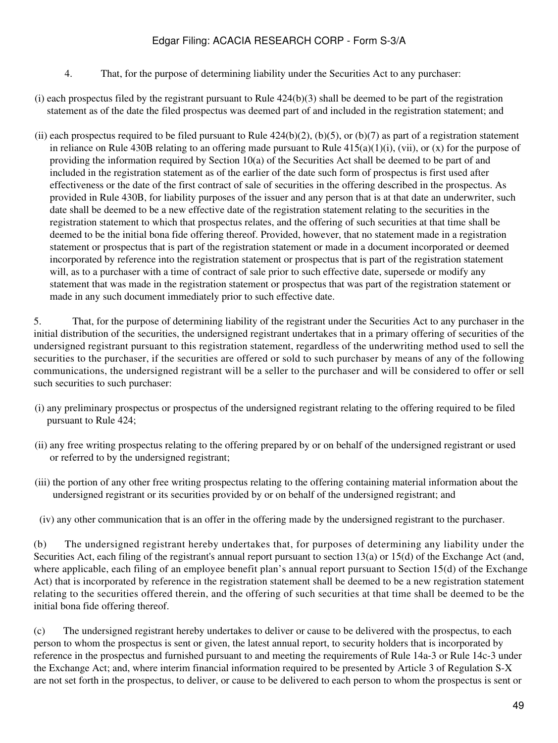- 4. That, for the purpose of determining liability under the Securities Act to any purchaser:
- (i) each prospectus filed by the registrant pursuant to Rule  $424(b)(3)$  shall be deemed to be part of the registration statement as of the date the filed prospectus was deemed part of and included in the registration statement; and
- (ii) each prospectus required to be filed pursuant to Rule  $424(b)(2)$ , (b)(5), or (b)(7) as part of a registration statement in reliance on Rule 430B relating to an offering made pursuant to Rule  $415(a)(1)(i)$ , (vii), or (x) for the purpose of providing the information required by Section 10(a) of the Securities Act shall be deemed to be part of and included in the registration statement as of the earlier of the date such form of prospectus is first used after effectiveness or the date of the first contract of sale of securities in the offering described in the prospectus. As provided in Rule 430B, for liability purposes of the issuer and any person that is at that date an underwriter, such date shall be deemed to be a new effective date of the registration statement relating to the securities in the registration statement to which that prospectus relates, and the offering of such securities at that time shall be deemed to be the initial bona fide offering thereof. Provided, however, that no statement made in a registration statement or prospectus that is part of the registration statement or made in a document incorporated or deemed incorporated by reference into the registration statement or prospectus that is part of the registration statement will, as to a purchaser with a time of contract of sale prior to such effective date, supersede or modify any statement that was made in the registration statement or prospectus that was part of the registration statement or made in any such document immediately prior to such effective date.

5. That, for the purpose of determining liability of the registrant under the Securities Act to any purchaser in the initial distribution of the securities, the undersigned registrant undertakes that in a primary offering of securities of the undersigned registrant pursuant to this registration statement, regardless of the underwriting method used to sell the securities to the purchaser, if the securities are offered or sold to such purchaser by means of any of the following communications, the undersigned registrant will be a seller to the purchaser and will be considered to offer or sell such securities to such purchaser:

- (i) any preliminary prospectus or prospectus of the undersigned registrant relating to the offering required to be filed pursuant to Rule 424;
- (ii) any free writing prospectus relating to the offering prepared by or on behalf of the undersigned registrant or used or referred to by the undersigned registrant;
- (iii) the portion of any other free writing prospectus relating to the offering containing material information about the undersigned registrant or its securities provided by or on behalf of the undersigned registrant; and
- (iv) any other communication that is an offer in the offering made by the undersigned registrant to the purchaser.

(b) The undersigned registrant hereby undertakes that, for purposes of determining any liability under the Securities Act, each filing of the registrant's annual report pursuant to section 13(a) or 15(d) of the Exchange Act (and, where applicable, each filing of an employee benefit plan's annual report pursuant to Section 15(d) of the Exchange Act) that is incorporated by reference in the registration statement shall be deemed to be a new registration statement relating to the securities offered therein, and the offering of such securities at that time shall be deemed to be the initial bona fide offering thereof.

(c) The undersigned registrant hereby undertakes to deliver or cause to be delivered with the prospectus, to each person to whom the prospectus is sent or given, the latest annual report, to security holders that is incorporated by reference in the prospectus and furnished pursuant to and meeting the requirements of Rule 14a-3 or Rule 14c-3 under the Exchange Act; and, where interim financial information required to be presented by Article 3 of Regulation S-X are not set forth in the prospectus, to deliver, or cause to be delivered to each person to whom the prospectus is sent or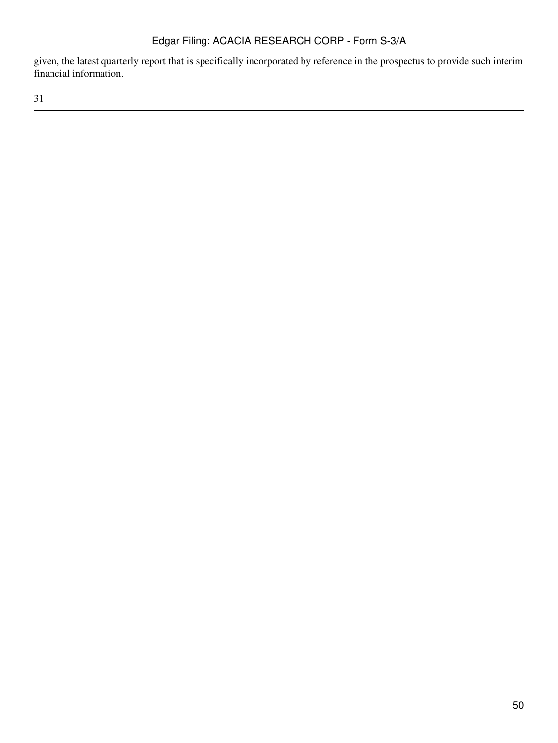given, the latest quarterly report that is specifically incorporated by reference in the prospectus to provide such interim financial information.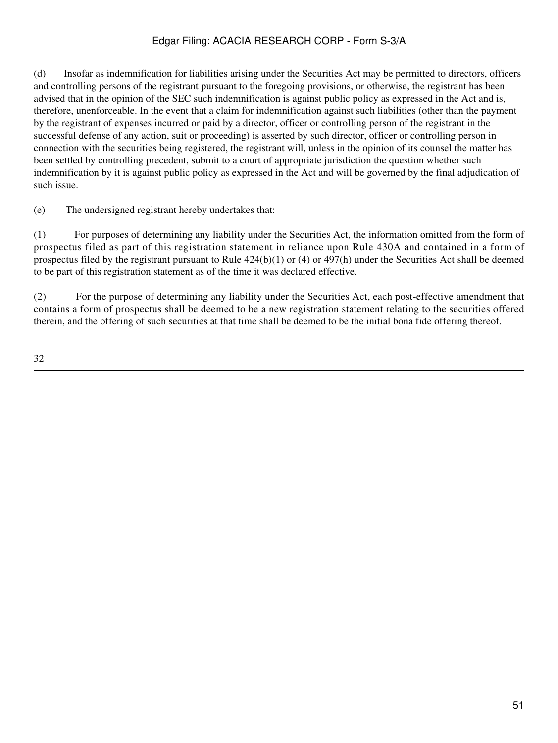(d) Insofar as indemnification for liabilities arising under the Securities Act may be permitted to directors, officers and controlling persons of the registrant pursuant to the foregoing provisions, or otherwise, the registrant has been advised that in the opinion of the SEC such indemnification is against public policy as expressed in the Act and is, therefore, unenforceable. In the event that a claim for indemnification against such liabilities (other than the payment by the registrant of expenses incurred or paid by a director, officer or controlling person of the registrant in the successful defense of any action, suit or proceeding) is asserted by such director, officer or controlling person in connection with the securities being registered, the registrant will, unless in the opinion of its counsel the matter has been settled by controlling precedent, submit to a court of appropriate jurisdiction the question whether such indemnification by it is against public policy as expressed in the Act and will be governed by the final adjudication of such issue.

(e) The undersigned registrant hereby undertakes that:

(1) For purposes of determining any liability under the Securities Act, the information omitted from the form of prospectus filed as part of this registration statement in reliance upon Rule 430A and contained in a form of prospectus filed by the registrant pursuant to Rule  $424(b)(1)$  or  $(4)$  or  $497(h)$  under the Securities Act shall be deemed to be part of this registration statement as of the time it was declared effective.

(2) For the purpose of determining any liability under the Securities Act, each post-effective amendment that contains a form of prospectus shall be deemed to be a new registration statement relating to the securities offered therein, and the offering of such securities at that time shall be deemed to be the initial bona fide offering thereof.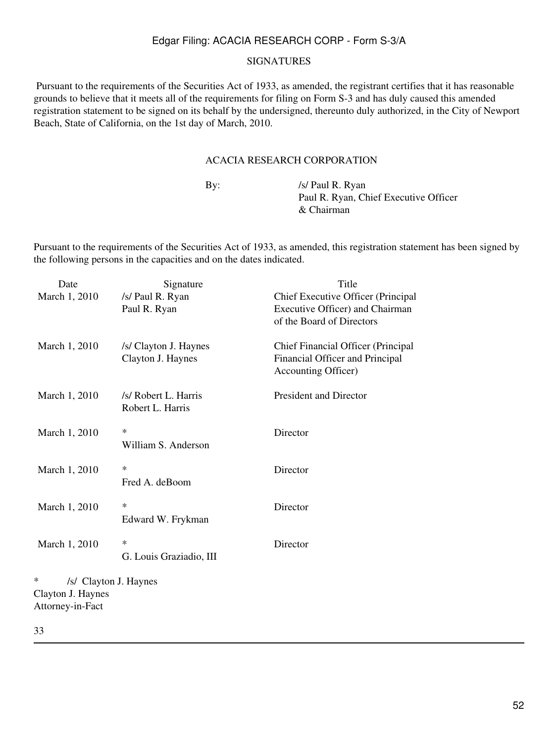#### SIGNATURES

 Pursuant to the requirements of the Securities Act of 1933, as amended, the registrant certifies that it has reasonable grounds to believe that it meets all of the requirements for filing on Form S-3 and has duly caused this amended registration statement to be signed on its behalf by the undersigned, thereunto duly authorized, in the City of Newport Beach, State of California, on the 1st day of March, 2010.

### ACACIA RESEARCH CORPORATION

By: /s/ Paul R. Ryan Paul R. Ryan, Chief Executive Officer & Chairman

Pursuant to the requirements of the Securities Act of 1933, as amended, this registration statement has been signed by the following persons in the capacities and on the dates indicated.

| Date                       | Signature               | Title                              |
|----------------------------|-------------------------|------------------------------------|
| March 1, 2010              | /s/ Paul R. Ryan        | Chief Executive Officer (Principal |
|                            | Paul R. Ryan            | Executive Officer) and Chairman    |
|                            |                         | of the Board of Directors          |
|                            |                         |                                    |
| March 1, 2010              | /s/ Clayton J. Haynes   | Chief Financial Officer (Principal |
|                            | Clayton J. Haynes       | Financial Officer and Principal    |
|                            |                         | Accounting Officer)                |
| March 1, 2010              | /s/ Robert L. Harris    | <b>President and Director</b>      |
|                            | Robert L. Harris        |                                    |
|                            |                         |                                    |
| March 1, 2010              | $\ast$                  | Director                           |
|                            | William S. Anderson     |                                    |
|                            | $\ast$                  |                                    |
| March 1, 2010              | Fred A. deBoom          | Director                           |
|                            |                         |                                    |
| March 1, 2010              | $\ast$                  | Director                           |
|                            | Edward W. Frykman       |                                    |
|                            |                         |                                    |
| March 1, 2010              | $\ast$                  | Director                           |
|                            | G. Louis Graziadio, III |                                    |
| ∗<br>/s/ Clayton J. Haynes |                         |                                    |
| Clayton J. Haynes          |                         |                                    |
| Attorney-in-Fact           |                         |                                    |
|                            |                         |                                    |